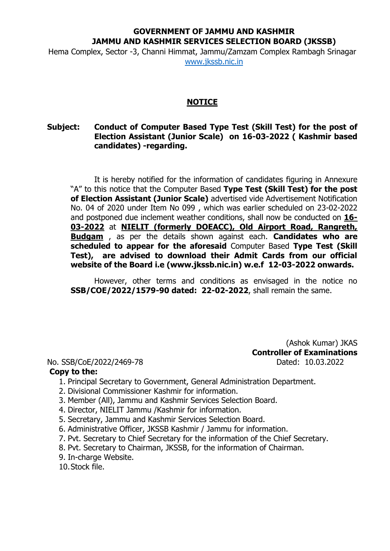## **GOVERNMENT OF JAMMU AND KASHMIR JAMMU AND KASHMIR SERVICES SELECTION BOARD (JKSSB)**

Hema Complex, Sector -3, Channi Himmat, Jammu/Zamzam Complex Rambagh Srinagar [www.jkssb.nic.in](http://www.jkssb.nic.in/)

## **NOTICE**

## **Subject: Conduct of Computer Based Type Test (Skill Test) for the post of Election Assistant (Junior Scale) on 16-03-2022 ( Kashmir based candidates) -regarding.**

It is hereby notified for the information of candidates figuring in Annexure "A" to this notice that the Computer Based **Type Test (Skill Test) for the post of Election Assistant (Junior Scale)** advertised vide Advertisement Notification No. 04 of 2020 under Item No 099 , which was earlier scheduled on 23-02-2022 and postponed due inclement weather conditions, shall now be conducted on **16- 03-2022** at **NIELIT (formerly DOEACC), Old Airport Road, Rangreth, Budgam** , as per the details shown against each. **Candidates who are scheduled to appear for the aforesaid** Computer Based **Type Test (Skill Test), are advised to download their Admit Cards from our official website of the Board i.e [\(www.jkssb.nic.in\)](http://www.jkssb.nic.in/) w.e.f 12-03-2022 onwards.**

However, other terms and conditions as envisaged in the notice no **SSB/COE/2022/1579-90 dated: 22-02-2022**, shall remain the same.

## No. SSB/CoE/2022/2469-78 Dated: 10.03.2022

(Ashok Kumar) JKAS **Controller of Examinations**

- **Copy to the:**
	- 1. Principal Secretary to Government, General Administration Department.
	- 2. Divisional Commissioner Kashmir for information.
	- 3. Member (All), Jammu and Kashmir Services Selection Board.
	- 4. Director, NIELIT Jammu /Kashmir for information.
	- 5. Secretary, Jammu and Kashmir Services Selection Board.
	- 6. Administrative Officer, JKSSB Kashmir / Jammu for information.
	- 7. Pvt. Secretary to Chief Secretary for the information of the Chief Secretary.
	- 8. Pvt. Secretary to Chairman, JKSSB, for the information of Chairman.
	- 9. In-charge Website.
	- 10.Stock file.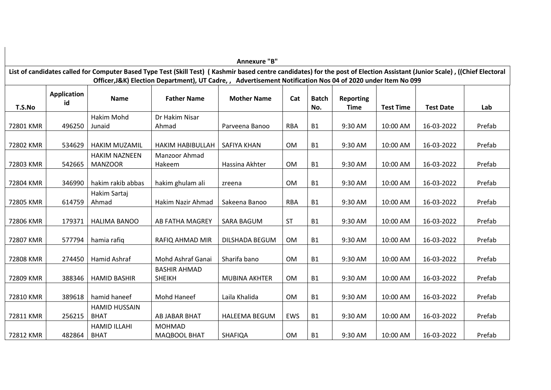|           |                    |                      |                                                                                                                                                                            | Annexure "B"          |            |              |                  |                  |                  |        |
|-----------|--------------------|----------------------|----------------------------------------------------------------------------------------------------------------------------------------------------------------------------|-----------------------|------------|--------------|------------------|------------------|------------------|--------|
|           |                    |                      | List of candidates called for Computer Based Type Test (Skill Test) (Kashmir based centre candidates) for the post of Election Assistant (Junior Scale), ((Chief Electoral |                       |            |              |                  |                  |                  |        |
|           |                    |                      | Officer, J&K) Election Department), UT Cadre, , Advertisement Notification Nos 04 of 2020 under Item No 099                                                                |                       |            |              |                  |                  |                  |        |
|           | <b>Application</b> | <b>Name</b>          | <b>Father Name</b>                                                                                                                                                         | <b>Mother Name</b>    | Cat        | <b>Batch</b> | <b>Reporting</b> |                  |                  |        |
| T.S.No    | id                 |                      |                                                                                                                                                                            |                       |            | No.          | <b>Time</b>      | <b>Test Time</b> | <b>Test Date</b> | Lab    |
|           |                    | <b>Hakim Mohd</b>    | Dr Hakim Nisar                                                                                                                                                             |                       |            |              |                  |                  |                  |        |
| 72801 KMR | 496250             | Junaid               | Ahmad                                                                                                                                                                      | Parveena Banoo        | <b>RBA</b> | <b>B1</b>    | 9:30 AM          | 10:00 AM         | 16-03-2022       | Prefab |
|           |                    |                      |                                                                                                                                                                            |                       |            |              |                  |                  |                  |        |
| 72802 KMR | 534629             | <b>HAKIM MUZAMIL</b> | <b>HAKIM HABIBULLAH</b>                                                                                                                                                    | SAFIYA KHAN           | <b>OM</b>  | <b>B1</b>    | 9:30 AM          | 10:00 AM         | 16-03-2022       | Prefab |
|           |                    | <b>HAKIM NAZNEEN</b> | Manzoor Ahmad                                                                                                                                                              |                       |            |              |                  |                  |                  |        |
| 72803 KMR | 542665             | <b>MANZOOR</b>       | Hakeem                                                                                                                                                                     | Hassina Akhter        | <b>OM</b>  | <b>B1</b>    | 9:30 AM          | 10:00 AM         | 16-03-2022       | Prefab |
|           |                    |                      |                                                                                                                                                                            |                       |            |              |                  |                  |                  |        |
| 72804 KMR | 346990             | hakim rakib abbas    | hakim ghulam ali                                                                                                                                                           | zreena                | <b>OM</b>  | <b>B1</b>    | 9:30 AM          | 10:00 AM         | 16-03-2022       | Prefab |
|           |                    | Hakim Sartaj         |                                                                                                                                                                            |                       |            |              |                  |                  |                  |        |
| 72805 KMR | 614759             | Ahmad                | Hakim Nazir Ahmad                                                                                                                                                          | Sakeena Banoo         | <b>RBA</b> | <b>B1</b>    | 9:30 AM          | 10:00 AM         | 16-03-2022       | Prefab |
| 72806 KMR | 179371             | <b>HALIMA BANOO</b>  | AB FATHA MAGREY                                                                                                                                                            | <b>SARA BAGUM</b>     | <b>ST</b>  | <b>B1</b>    | 9:30 AM          | 10:00 AM         | 16-03-2022       | Prefab |
|           |                    |                      |                                                                                                                                                                            |                       |            |              |                  |                  |                  |        |
| 72807 KMR | 577794             | hamia rafiq          | RAFIQ AHMAD MIR                                                                                                                                                            | <b>DILSHADA BEGUM</b> | <b>OM</b>  | <b>B1</b>    | 9:30 AM          | 10:00 AM         | 16-03-2022       | Prefab |
|           |                    |                      |                                                                                                                                                                            |                       |            |              |                  |                  |                  |        |
| 72808 KMR | 274450             | Hamid Ashraf         | Mohd Ashraf Ganai                                                                                                                                                          | Sharifa bano          | <b>OM</b>  | <b>B1</b>    | 9:30 AM          | 10:00 AM         | 16-03-2022       | Prefab |
|           |                    |                      | <b>BASHIR AHMAD</b>                                                                                                                                                        |                       |            |              |                  |                  |                  |        |
| 72809 KMR | 388346             | <b>HAMID BASHIR</b>  | <b>SHEIKH</b>                                                                                                                                                              | <b>MUBINA AKHTER</b>  | <b>OM</b>  | <b>B1</b>    | 9:30 AM          | 10:00 AM         | 16-03-2022       | Prefab |
|           |                    |                      |                                                                                                                                                                            |                       |            |              |                  |                  |                  |        |
| 72810 KMR | 389618             | hamid haneef         | <b>Mohd Haneef</b>                                                                                                                                                         | Laila Khalida         | <b>OM</b>  | <b>B1</b>    | 9:30 AM          | 10:00 AM         | 16-03-2022       | Prefab |
|           |                    | <b>HAMID HUSSAIN</b> |                                                                                                                                                                            |                       |            |              |                  |                  |                  |        |
| 72811 KMR | 256215             | <b>BHAT</b>          | AB JABAR BHAT                                                                                                                                                              | <b>HALEEMA BEGUM</b>  | EWS        | <b>B1</b>    | 9:30 AM          | 10:00 AM         | 16-03-2022       | Prefab |
|           |                    | <b>HAMID ILLAHI</b>  | <b>MOHMAD</b>                                                                                                                                                              |                       |            |              |                  |                  |                  |        |
| 72812 KMR | 482864             | <b>BHAT</b>          | MAQBOOL BHAT                                                                                                                                                               | <b>SHAFIQA</b>        | <b>OM</b>  | <b>B1</b>    | 9:30 AM          | 10:00 AM         | 16-03-2022       | Prefab |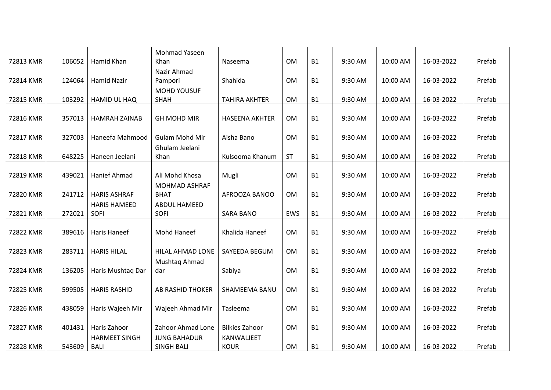| 72813 KMR | 106052 | Hamid Khan           | Mohmad Yaseen<br>Khan   | Naseema               | <b>OM</b> | <b>B1</b> | 9:30 AM | 10:00 AM | 16-03-2022 | Prefab |
|-----------|--------|----------------------|-------------------------|-----------------------|-----------|-----------|---------|----------|------------|--------|
|           |        |                      |                         |                       |           |           |         |          |            |        |
| 72814 KMR | 124064 | <b>Hamid Nazir</b>   | Nazir Ahmad<br>Pampori  | Shahida               | OM        | <b>B1</b> | 9:30 AM | 10:00 AM | 16-03-2022 | Prefab |
|           |        |                      | <b>MOHD YOUSUF</b>      |                       |           |           |         |          |            |        |
| 72815 KMR | 103292 | HAMID UL HAQ         | SHAH                    | <b>TAHIRA AKHTER</b>  | OM        | <b>B1</b> | 9:30 AM | 10:00 AM | 16-03-2022 | Prefab |
| 72816 KMR | 357013 | <b>HAMRAH ZAINAB</b> | <b>GH MOHD MIR</b>      | <b>HASEENA AKHTER</b> | OM        | <b>B1</b> | 9:30 AM | 10:00 AM | 16-03-2022 | Prefab |
|           |        |                      |                         |                       |           |           |         |          |            |        |
| 72817 KMR | 327003 | Haneefa Mahmood      | <b>Gulam Mohd Mir</b>   | Aisha Bano            | OM        | <b>B1</b> | 9:30 AM | 10:00 AM | 16-03-2022 | Prefab |
|           |        |                      | Ghulam Jeelani          |                       |           |           |         |          |            |        |
| 72818 KMR | 648225 | Haneen Jeelani       | Khan                    | Kulsooma Khanum       | ST        | <b>B1</b> | 9:30 AM | 10:00 AM | 16-03-2022 | Prefab |
|           |        |                      |                         |                       |           |           |         |          |            |        |
| 72819 KMR | 439021 | Hanief Ahmad         | Ali Mohd Khosa          | Mugli                 | <b>OM</b> | <b>B1</b> | 9:30 AM | 10:00 AM | 16-03-2022 | Prefab |
|           |        |                      | <b>MOHMAD ASHRAF</b>    |                       |           |           |         |          |            |        |
| 72820 KMR | 241712 | <b>HARIS ASHRAF</b>  | <b>BHAT</b>             | AFROOZA BANOO         | OM        | <b>B1</b> | 9:30 AM | 10:00 AM | 16-03-2022 | Prefab |
|           |        | <b>HARIS HAMEED</b>  | ABDUL HAMEED            |                       |           |           |         |          |            |        |
| 72821 KMR | 272021 | SOFI                 | SOFI                    | <b>SARA BANO</b>      | EWS       | <b>B1</b> | 9:30 AM | 10:00 AM | 16-03-2022 | Prefab |
|           |        |                      |                         |                       |           |           |         |          |            |        |
| 72822 KMR | 389616 | <b>Haris Haneef</b>  | Mohd Haneef             | Khalida Haneef        | OM        | <b>B1</b> | 9:30 AM | 10:00 AM | 16-03-2022 | Prefab |
|           |        |                      |                         |                       |           |           |         |          |            |        |
| 72823 KMR | 283711 | <b>HARIS HILAL</b>   | HILAL AHMAD LONE        | SAYEEDA BEGUM         | OM        | <b>B1</b> | 9:30 AM | 10:00 AM | 16-03-2022 | Prefab |
|           |        |                      | Mushtaq Ahmad           |                       |           |           |         |          |            |        |
| 72824 KMR | 136205 | Haris Mushtaq Dar    | dar                     | Sabiya                | <b>OM</b> | <b>B1</b> | 9:30 AM | 10:00 AM | 16-03-2022 | Prefab |
|           |        |                      |                         |                       |           |           |         |          |            |        |
| 72825 KMR | 599505 | <b>HARIS RASHID</b>  | <b>AB RASHID THOKER</b> | SHAMEEMA BANU         | OM        | <b>B1</b> | 9:30 AM | 10:00 AM | 16-03-2022 | Prefab |
|           |        |                      |                         |                       |           |           |         |          |            |        |
| 72826 KMR | 438059 | Haris Wajeeh Mir     | Wajeeh Ahmad Mir        | Tasleema              | <b>OM</b> | <b>B1</b> | 9:30 AM | 10:00 AM | 16-03-2022 | Prefab |
|           |        |                      |                         |                       |           |           |         |          |            |        |
| 72827 KMR | 401431 | Haris Zahoor         | Zahoor Ahmad Lone       | <b>Bilkies Zahoor</b> | <b>OM</b> | <b>B1</b> | 9:30 AM | 10:00 AM | 16-03-2022 | Prefab |
|           |        | <b>HARMEET SINGH</b> | <b>JUNG BAHADUR</b>     | KANWALJEET            |           |           |         |          |            |        |
| 72828 KMR | 543609 | <b>BALI</b>          | <b>SINGH BALI</b>       | <b>KOUR</b>           | OM        | <b>B1</b> | 9:30 AM | 10:00 AM | 16-03-2022 | Prefab |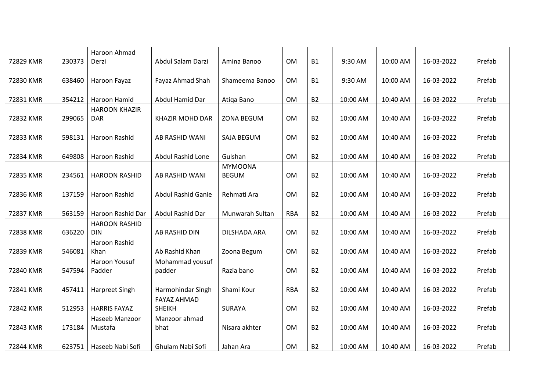| 72829 KMR | 230373 | Haroon Ahmad<br>Derzi              | Abdul Salam Darzi                   | Amina Banoo                    | <b>OM</b>  | <b>B1</b> | 9:30 AM  | 10:00 AM | 16-03-2022 | Prefab |
|-----------|--------|------------------------------------|-------------------------------------|--------------------------------|------------|-----------|----------|----------|------------|--------|
|           |        |                                    |                                     |                                |            |           |          |          |            |        |
| 72830 KMR | 638460 | Haroon Fayaz                       | Fayaz Ahmad Shah                    | Shameema Banoo                 | <b>OM</b>  | <b>B1</b> | 9:30 AM  | 10:00 AM | 16-03-2022 | Prefab |
|           |        |                                    |                                     |                                |            |           |          |          |            |        |
| 72831 KMR | 354212 | Haroon Hamid                       | Abdul Hamid Dar                     | Atiqa Bano                     | <b>OM</b>  | <b>B2</b> | 10:00 AM | 10:40 AM | 16-03-2022 | Prefab |
| 72832 KMR | 299065 | <b>HAROON KHAZIR</b><br><b>DAR</b> | <b>KHAZIR MOHD DAR</b>              | ZONA BEGUM                     | <b>OM</b>  | <b>B2</b> | 10:00 AM | 10:40 AM | 16-03-2022 | Prefab |
| 72833 KMR | 598131 | Haroon Rashid                      | AB RASHID WANI                      | SAJA BEGUM                     | <b>OM</b>  | <b>B2</b> | 10:00 AM | 10:40 AM | 16-03-2022 | Prefab |
| 72834 KMR | 649808 | Haroon Rashid                      | Abdul Rashid Lone                   | Gulshan                        | <b>OM</b>  | <b>B2</b> | 10:00 AM | 10:40 AM | 16-03-2022 | Prefab |
| 72835 KMR | 234561 | <b>HAROON RASHID</b>               | AB RASHID WANI                      | <b>MYMOONA</b><br><b>BEGUM</b> | <b>OM</b>  | <b>B2</b> | 10:00 AM | 10:40 AM | 16-03-2022 | Prefab |
|           |        |                                    |                                     |                                |            |           |          |          |            |        |
| 72836 KMR | 137159 | Haroon Rashid                      | <b>Abdul Rashid Ganie</b>           | Rehmati Ara                    | <b>OM</b>  | <b>B2</b> | 10:00 AM | 10:40 AM | 16-03-2022 | Prefab |
| 72837 KMR | 563159 | Haroon Rashid Dar                  | Abdul Rashid Dar                    | Munwarah Sultan                | <b>RBA</b> | <b>B2</b> | 10:00 AM | 10:40 AM | 16-03-2022 | Prefab |
| 72838 KMR | 636220 | <b>HAROON RASHID</b><br><b>DIN</b> | AB RASHID DIN                       | DILSHADA ARA                   | <b>OM</b>  | <b>B2</b> | 10:00 AM | 10:40 AM | 16-03-2022 | Prefab |
| 72839 KMR | 546081 | Haroon Rashid<br>Khan              | Ab Rashid Khan                      | Zoona Begum                    | <b>OM</b>  | <b>B2</b> | 10:00 AM | 10:40 AM | 16-03-2022 | Prefab |
| 72840 KMR | 547594 | Haroon Yousuf<br>Padder            | Mohammad yousuf<br>padder           | Razia bano                     | <b>OM</b>  | <b>B2</b> | 10:00 AM | 10:40 AM | 16-03-2022 | Prefab |
|           |        |                                    |                                     |                                |            |           |          |          |            |        |
| 72841 KMR | 457411 | <b>Harpreet Singh</b>              | Harmohindar Singh                   | Shami Kour                     | <b>RBA</b> | <b>B2</b> | 10:00 AM | 10:40 AM | 16-03-2022 | Prefab |
| 72842 KMR | 512953 | <b>HARRIS FAYAZ</b>                | <b>FAYAZ AHMAD</b><br><b>SHEIKH</b> | <b>SURAYA</b>                  | <b>OM</b>  | <b>B2</b> | 10:00 AM | 10:40 AM | 16-03-2022 | Prefab |
| 72843 KMR | 173184 | Haseeb Manzoor<br>Mustafa          | Manzoor ahmad<br>bhat               | Nisara akhter                  | <b>OM</b>  | <b>B2</b> | 10:00 AM | 10:40 AM | 16-03-2022 | Prefab |
| 72844 KMR | 623751 | Haseeb Nabi Sofi                   | Ghulam Nabi Sofi                    | Jahan Ara                      | <b>OM</b>  | <b>B2</b> | 10:00 AM | 10:40 AM | 16-03-2022 | Prefab |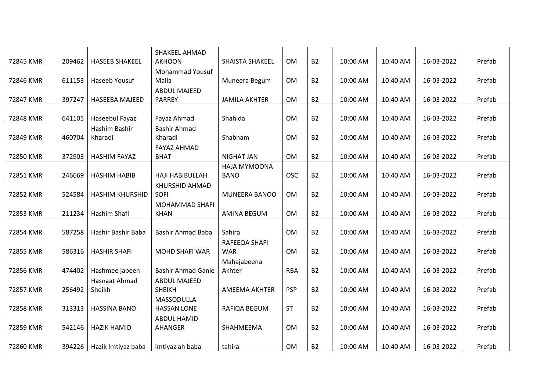|           |        |                        | SHAKEEL AHMAD<br><b>AKHOON</b>  |                      | OM         | <b>B2</b> |          |          |            | Prefab |
|-----------|--------|------------------------|---------------------------------|----------------------|------------|-----------|----------|----------|------------|--------|
| 72845 KMR | 209462 | <b>HASEEB SHAKEEL</b>  |                                 | SHAISTA SHAKEEL      |            |           | 10:00 AM | 10:40 AM | 16-03-2022 |        |
| 72846 KMR | 611153 | Haseeb Yousuf          | <b>Mohammad Yousuf</b><br>Malla | Muneera Begum        | OM         | <b>B2</b> | 10:00 AM | 10:40 AM | 16-03-2022 | Prefab |
|           |        |                        | <b>ABDUL MAJEED</b>             |                      |            |           |          |          |            |        |
| 72847 KMR | 397247 | <b>HASEEBA MAJEED</b>  | <b>PARREY</b>                   | <b>JAMILA AKHTER</b> | <b>OM</b>  | <b>B2</b> | 10:00 AM | 10:40 AM | 16-03-2022 | Prefab |
|           |        |                        |                                 |                      |            |           |          |          |            |        |
| 72848 KMR | 641105 | Haseebul Fayaz         | Fayaz Ahmad                     | Shahida              | OM         | <b>B2</b> | 10:00 AM | 10:40 AM | 16-03-2022 | Prefab |
|           |        | Hashim Bashir          | Bashir Ahmad                    |                      |            |           |          |          |            |        |
| 72849 KMR | 460704 | Kharadi                | Kharadi                         | Shabnam              | OM         | <b>B2</b> | 10:00 AM | 10:40 AM | 16-03-2022 | Prefab |
|           |        |                        | <b>FAYAZ AHMAD</b>              |                      |            |           |          |          |            |        |
| 72850 KMR | 372903 | <b>HASHIM FAYAZ</b>    | <b>BHAT</b>                     | <b>NIGHAT JAN</b>    | <b>OM</b>  | <b>B2</b> | 10:00 AM | 10:40 AM | 16-03-2022 | Prefab |
|           |        |                        |                                 | HAJA MYMOONA         |            |           |          |          |            |        |
| 72851 KMR | 246669 | <b>HASHIM HABIB</b>    | <b>HAJI HABIBULLAH</b>          | <b>BANO</b>          | <b>OSC</b> | <b>B2</b> | 10:00 AM | 10:40 AM | 16-03-2022 | Prefab |
|           |        |                        | KHURSHID AHMAD                  |                      |            |           |          |          |            |        |
| 72852 KMR | 524584 | <b>HASHIM KHURSHID</b> | SOFI                            | MUNEERA BANOO        | OM         | <b>B2</b> | 10:00 AM | 10:40 AM | 16-03-2022 | Prefab |
|           |        |                        | MOHAMMAD SHAFI                  |                      |            |           |          |          |            |        |
| 72853 KMR | 211234 | Hashim Shafi           | <b>KHAN</b>                     | <b>AMINA BEGUM</b>   | <b>OM</b>  | <b>B2</b> | 10:00 AM | 10:40 AM | 16-03-2022 | Prefab |
|           |        |                        |                                 |                      |            |           |          |          |            |        |
| 72854 KMR | 587258 | Hashir Bashir Baba     | <b>Bashir Ahmad Baba</b>        | Sahira               | <b>OM</b>  | <b>B2</b> | 10:00 AM | 10:40 AM | 16-03-2022 | Prefab |
|           |        |                        |                                 | RAFEEQA SHAFI        |            |           |          |          |            |        |
| 72855 KMR | 586316 | <b>HASHIR SHAFI</b>    | <b>MOHD SHAFI WAR</b>           | <b>WAR</b>           | OM         | <b>B2</b> | 10:00 AM | 10:40 AM | 16-03-2022 | Prefab |
|           |        |                        |                                 | Mahajabeena          |            |           |          |          |            |        |
| 72856 KMR | 474402 | Hashmee jabeen         | <b>Bashir Ahmad Ganie</b>       | Akhter               | <b>RBA</b> | <b>B2</b> | 10:00 AM | 10:40 AM | 16-03-2022 | Prefab |
|           |        | Hasnaat Ahmad          | <b>ABDUL MAJEED</b>             |                      |            |           |          |          |            |        |
| 72857 KMR | 256492 | Sheikh                 | <b>SHEIKH</b>                   | <b>AMEEMA AKHTER</b> | <b>PSP</b> | <b>B2</b> | 10:00 AM | 10:40 AM | 16-03-2022 | Prefab |
|           |        |                        | MASSODULLA                      |                      |            |           |          |          |            |        |
| 72858 KMR | 313313 | <b>HASSINA BANO</b>    | <b>HASSAN LONE</b>              | RAFIQA BEGUM         | <b>ST</b>  | <b>B2</b> | 10:00 AM | 10:40 AM | 16-03-2022 | Prefab |
|           |        |                        | <b>ABDUL HAMID</b>              |                      |            |           |          |          |            |        |
| 72859 KMR | 542146 | <b>HAZIK HAMID</b>     | AHANGER                         | SHAHMEEMA            | <b>OM</b>  | <b>B2</b> | 10:00 AM | 10:40 AM | 16-03-2022 | Prefab |
|           |        |                        |                                 |                      |            |           |          |          |            |        |
| 72860 KMR | 394226 | Hazik Imtiyaz baba     | imtiyaz ah baba                 | tahira               | OM         | <b>B2</b> | 10:00 AM | 10:40 AM | 16-03-2022 | Prefab |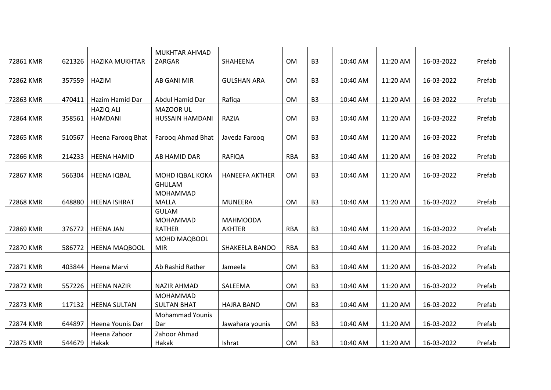|           |        |                       | MUKHTAR AHMAD                |                       |            |                |          |          |            |        |
|-----------|--------|-----------------------|------------------------------|-----------------------|------------|----------------|----------|----------|------------|--------|
| 72861 KMR | 621326 | <b>HAZIKA MUKHTAR</b> | ZARGAR                       | SHAHEENA              | <b>OM</b>  | B <sub>3</sub> | 10:40 AM | 11:20 AM | 16-03-2022 | Prefab |
|           |        |                       |                              |                       |            |                |          |          |            |        |
| 72862 KMR | 357559 | <b>HAZIM</b>          | AB GANI MIR                  | <b>GULSHAN ARA</b>    | <b>OM</b>  | B <sub>3</sub> | 10:40 AM | 11:20 AM | 16-03-2022 | Prefab |
|           |        |                       |                              |                       |            |                |          |          |            |        |
| 72863 KMR | 470411 | Hazim Hamid Dar       | Abdul Hamid Dar              | Rafiqa                | OM         | B <sub>3</sub> | 10:40 AM | 11:20 AM | 16-03-2022 | Prefab |
|           |        | <b>HAZIQ ALI</b>      | MAZOOR UL                    |                       |            |                |          |          |            |        |
| 72864 KMR | 358561 | <b>HAMDANI</b>        | <b>HUSSAIN HAMDANI</b>       | RAZIA                 | OM         | B <sub>3</sub> | 10:40 AM | 11:20 AM | 16-03-2022 | Prefab |
|           |        |                       |                              |                       |            |                |          |          |            |        |
| 72865 KMR | 510567 | Heena Farooq Bhat     | Farooq Ahmad Bhat            | Javeda Farooq         | <b>OM</b>  | B <sub>3</sub> | 10:40 AM | 11:20 AM | 16-03-2022 | Prefab |
|           |        |                       |                              |                       |            |                |          |          |            |        |
| 72866 KMR | 214233 | <b>HEENA HAMID</b>    | AB HAMID DAR                 | <b>RAFIQA</b>         | <b>RBA</b> | B <sub>3</sub> | 10:40 AM | 11:20 AM | 16-03-2022 | Prefab |
|           |        |                       |                              |                       |            |                |          |          |            |        |
| 72867 KMR | 566304 | <b>HEENA IQBAL</b>    | MOHD IQBAL KOKA              | <b>HANEEFA AKTHER</b> | OM         | B <sub>3</sub> | 10:40 AM | 11:20 AM | 16-03-2022 | Prefab |
|           |        |                       | <b>GHULAM</b>                |                       |            |                |          |          |            |        |
|           |        |                       | MOHAMMAD                     |                       |            |                |          |          |            |        |
| 72868 KMR | 648880 | <b>HEENA ISHRAT</b>   | <b>MALLA</b><br><b>GULAM</b> | <b>MUNEERA</b>        | <b>OM</b>  | B <sub>3</sub> | 10:40 AM | 11:20 AM | 16-03-2022 | Prefab |
|           |        |                       | <b>MOHAMMAD</b>              | <b>MAHMOODA</b>       |            |                |          |          |            |        |
| 72869 KMR | 376772 | <b>HEENA JAN</b>      | <b>RATHER</b>                | <b>AKHTER</b>         | <b>RBA</b> | B <sub>3</sub> | 10:40 AM | 11:20 AM | 16-03-2022 | Prefab |
|           |        |                       | MOHD MAQBOOL                 |                       |            |                |          |          |            |        |
| 72870 KMR | 586772 | <b>HEENA MAQBOOL</b>  | <b>MIR</b>                   | SHAKEELA BANOO        | <b>RBA</b> | B <sub>3</sub> | 10:40 AM | 11:20 AM | 16-03-2022 | Prefab |
|           |        |                       |                              |                       |            |                |          |          |            |        |
| 72871 KMR | 403844 | Heena Marvi           | Ab Rashid Rather             | Jameela               | <b>OM</b>  | B <sub>3</sub> | 10:40 AM | 11:20 AM | 16-03-2022 | Prefab |
|           |        |                       |                              |                       |            |                |          |          |            |        |
| 72872 KMR | 557226 | <b>HEENA NAZIR</b>    | <b>NAZIR AHMAD</b>           | SALEEMA               | <b>OM</b>  | B <sub>3</sub> | 10:40 AM | 11:20 AM | 16-03-2022 | Prefab |
|           |        |                       | MOHAMMAD                     |                       |            |                |          |          |            |        |
| 72873 KMR | 117132 | <b>HEENA SULTAN</b>   | <b>SULTAN BHAT</b>           | <b>HAJRA BANO</b>     | <b>OM</b>  | B <sub>3</sub> | 10:40 AM | 11:20 AM | 16-03-2022 | Prefab |
|           |        |                       | <b>Mohammad Younis</b>       |                       |            |                |          |          |            |        |
| 72874 KMR | 644897 | Heena Younis Dar      | Dar                          | Jawahara younis       | <b>OM</b>  | B <sub>3</sub> | 10:40 AM | 11:20 AM | 16-03-2022 | Prefab |
|           |        | Heena Zahoor          | Zahoor Ahmad                 |                       |            |                |          |          |            |        |
| 72875 KMR | 544679 | Hakak                 | Hakak                        | Ishrat                | <b>OM</b>  | B <sub>3</sub> | 10:40 AM | 11:20 AM | 16-03-2022 | Prefab |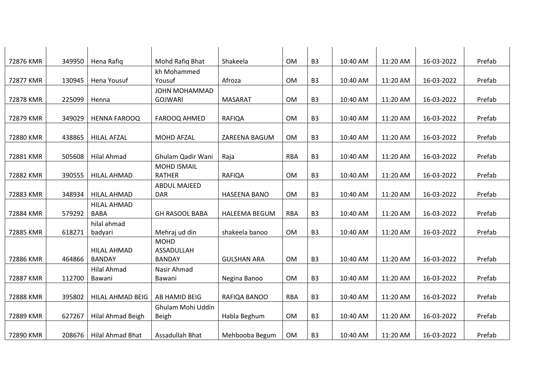| 72876 KMR | 349950 | Hena Rafiq                          | Mohd Rafiq Bhat                   | Shakeela             | <b>OM</b>  | B <sub>3</sub> | 10:40 AM | 11:20 AM | 16-03-2022 | Prefab |
|-----------|--------|-------------------------------------|-----------------------------------|----------------------|------------|----------------|----------|----------|------------|--------|
|           |        |                                     | kh Mohammed                       |                      |            |                |          |          |            |        |
| 72877 KMR | 130945 | Hena Yousuf                         | Yousuf                            | Afroza               | OM         | B <sub>3</sub> | 10:40 AM | 11:20 AM | 16-03-2022 | Prefab |
|           |        |                                     | JOHN MOHAMMAD                     |                      |            |                |          |          |            |        |
| 72878 KMR | 225099 | Henna                               | <b>GOJWARI</b>                    | <b>MASARAT</b>       | OM         | B <sub>3</sub> | 10:40 AM | 11:20 AM | 16-03-2022 | Prefab |
|           |        |                                     |                                   |                      |            |                |          |          |            |        |
| 72879 KMR | 349029 | <b>HENNA FAROOQ</b>                 | FAROOQ AHMED                      | <b>RAFIQA</b>        | OM         | B <sub>3</sub> | 10:40 AM | 11:20 AM | 16-03-2022 | Prefab |
|           |        |                                     |                                   |                      |            |                |          |          |            |        |
| 72880 KMR | 438865 | <b>HILAL AFZAL</b>                  | <b>MOHD AFZAL</b>                 | ZAREENA BAGUM        | OM         | B <sub>3</sub> | 10:40 AM | 11:20 AM | 16-03-2022 | Prefab |
|           |        |                                     |                                   |                      |            |                |          |          |            |        |
| 72881 KMR | 505608 | <b>Hilal Ahmad</b>                  | Ghulam Qadir Wani                 | Raja                 | <b>RBA</b> | B <sub>3</sub> | 10:40 AM | 11:20 AM | 16-03-2022 | Prefab |
|           |        |                                     | <b>MOHD ISMAIL</b>                |                      |            |                |          |          |            |        |
| 72882 KMR | 390555 | <b>HILAL AHMAD</b>                  | <b>RATHER</b>                     | <b>RAFIQA</b>        | <b>OM</b>  | B <sub>3</sub> | 10:40 AM | 11:20 AM | 16-03-2022 | Prefab |
|           |        |                                     | <b>ABDUL MAJEED</b>               |                      |            |                |          |          |            |        |
| 72883 KMR | 348934 | <b>HILAL AHMAD</b>                  | <b>DAR</b>                        | <b>HASEENA BANO</b>  | OM         | B <sub>3</sub> | 10:40 AM | 11:20 AM | 16-03-2022 | Prefab |
|           |        | <b>HILAL AHMAD</b>                  |                                   |                      |            |                |          |          |            |        |
| 72884 KMR | 579292 | <b>BABA</b>                         | <b>GH RASOOL BABA</b>             | <b>HALEEMA BEGUM</b> | <b>RBA</b> | B <sub>3</sub> | 10:40 AM | 11:20 AM | 16-03-2022 | Prefab |
|           |        | hilal ahmad                         |                                   |                      |            |                |          |          |            |        |
| 72885 KMR | 618271 | badyari                             | Mehraj ud din                     | shakeela banoo       | <b>OM</b>  | B <sub>3</sub> | 10:40 AM | 11:20 AM | 16-03-2022 | Prefab |
|           |        |                                     | <b>MOHD</b>                       |                      |            |                |          |          |            |        |
| 72886 KMR | 464866 | <b>HILAL AHMAD</b><br><b>BANDAY</b> | ASSADULLAH<br><b>BANDAY</b>       | <b>GULSHAN ARA</b>   | OM         | B <sub>3</sub> | 10:40 AM | 11:20 AM | 16-03-2022 | Prefab |
|           |        |                                     |                                   |                      |            |                |          |          |            |        |
|           |        | <b>Hilal Ahmad</b>                  | Nasir Ahmad                       |                      | OM         |                |          |          |            |        |
| 72887 KMR | 112700 | Bawani                              | Bawani                            | Negina Banoo         |            | B <sub>3</sub> | 10:40 AM | 11:20 AM | 16-03-2022 | Prefab |
| 72888 KMR | 395802 | HILAL AHMAD BEIG                    | AB HAMID BEIG                     | RAFIQA BANOO         | <b>RBA</b> | B <sub>3</sub> | 10:40 AM | 11:20 AM | 16-03-2022 | Prefab |
|           |        |                                     |                                   |                      |            |                |          |          |            |        |
| 72889 KMR | 627267 | Hilal Ahmad Beigh                   | Ghulam Mohi Uddin<br><b>Beigh</b> | Habla Beghum         | OM         | B <sub>3</sub> | 10:40 AM | 11:20 AM | 16-03-2022 | Prefab |
|           |        |                                     |                                   |                      |            |                |          |          |            |        |
| 72890 KMR | 208676 | Hilal Ahmad Bhat                    | Assadullah Bhat                   | Mehbooba Begum       | OM         | B <sub>3</sub> | 10:40 AM | 11:20 AM | 16-03-2022 | Prefab |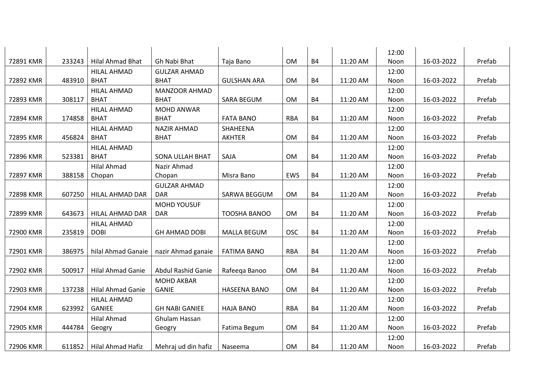|           |        |                          |                           |                     |            |           |          | 12:00 |            |        |
|-----------|--------|--------------------------|---------------------------|---------------------|------------|-----------|----------|-------|------------|--------|
| 72891 KMR | 233243 | <b>Hilal Ahmad Bhat</b>  | Gh Nabi Bhat              | Taja Bano           | OM         | <b>B4</b> | 11:20 AM | Noon  | 16-03-2022 | Prefab |
|           |        | <b>HILAL AHMAD</b>       | <b>GULZAR AHMAD</b>       |                     |            |           |          | 12:00 |            |        |
| 72892 KMR | 483910 | <b>BHAT</b>              | <b>BHAT</b>               | <b>GULSHAN ARA</b>  | OM         | <b>B4</b> | 11:20 AM | Noon  | 16-03-2022 | Prefab |
|           |        | <b>HILAL AHMAD</b>       | <b>MANZOOR AHMAD</b>      |                     |            |           |          | 12:00 |            |        |
| 72893 KMR | 308117 | <b>BHAT</b>              | <b>BHAT</b>               | <b>SARA BEGUM</b>   | OM         | <b>B4</b> | 11:20 AM | Noon  | 16-03-2022 | Prefab |
|           |        | <b>HILAL AHMAD</b>       | <b>MOHD ANWAR</b>         |                     |            |           |          | 12:00 |            |        |
| 72894 KMR | 174858 | <b>BHAT</b>              | <b>BHAT</b>               | <b>FATA BANO</b>    | <b>RBA</b> | <b>B4</b> | 11:20 AM | Noon  | 16-03-2022 | Prefab |
|           |        | <b>HILAL AHMAD</b>       | <b>NAZIR AHMAD</b>        | SHAHEENA            |            |           |          | 12:00 |            |        |
| 72895 KMR | 456824 | <b>BHAT</b>              | <b>BHAT</b>               | <b>AKHTER</b>       | OM         | <b>B4</b> | 11:20 AM | Noon  | 16-03-2022 | Prefab |
|           |        | <b>HILAL AHMAD</b>       |                           |                     |            |           |          | 12:00 |            |        |
| 72896 KMR | 523381 | <b>BHAT</b>              | <b>SONA ULLAH BHAT</b>    | SAJA                | <b>OM</b>  | <b>B4</b> | 11:20 AM | Noon  | 16-03-2022 | Prefab |
|           |        | <b>Hilal Ahmad</b>       | Nazir Ahmad               |                     |            |           |          | 12:00 |            |        |
| 72897 KMR | 388158 | Chopan                   | Chopan                    | Misra Bano          | EWS        | <b>B4</b> | 11:20 AM | Noon  | 16-03-2022 | Prefab |
|           |        |                          | <b>GULZAR AHMAD</b>       |                     |            |           |          | 12:00 |            |        |
| 72898 KMR | 607250 | HILAL AHMAD DAR          | <b>DAR</b>                | SARWA BEGGUM        | OM         | <b>B4</b> | 11:20 AM | Noon  | 16-03-2022 | Prefab |
|           |        |                          | <b>MOHD YOUSUF</b>        |                     |            |           |          | 12:00 |            |        |
| 72899 KMR | 643673 | HILAL AHMAD DAR          | <b>DAR</b>                | <b>TOOSHA BANOO</b> | <b>OM</b>  | <b>B4</b> | 11:20 AM | Noon  | 16-03-2022 | Prefab |
|           |        | <b>HILAL AHMAD</b>       |                           |                     |            |           |          | 12:00 |            |        |
| 72900 KMR | 235819 | <b>DOBI</b>              | <b>GH AHMAD DOBI</b>      | <b>MALLA BEGUM</b>  | <b>OSC</b> | <b>B4</b> | 11:20 AM | Noon  | 16-03-2022 | Prefab |
|           |        |                          |                           |                     |            |           |          | 12:00 |            |        |
| 72901 KMR | 386975 | hilal Ahmad Ganaie       | nazir Ahmad ganaie        | <b>FATIMA BANO</b>  | <b>RBA</b> | <b>B4</b> | 11:20 AM | Noon  | 16-03-2022 | Prefab |
|           |        |                          |                           |                     |            |           |          | 12:00 |            |        |
| 72902 KMR | 500917 | <b>Hilal Ahmad Ganie</b> | <b>Abdul Rashid Ganie</b> | Rafeeqa Banoo       | <b>OM</b>  | <b>B4</b> | 11:20 AM | Noon  | 16-03-2022 | Prefab |
|           |        |                          | <b>MOHD AKBAR</b>         |                     |            |           |          | 12:00 |            |        |
| 72903 KMR | 137238 | Hilal Ahmad Ganie        | <b>GANIE</b>              | <b>HASEENA BANO</b> | OM         | <b>B4</b> | 11:20 AM | Noon  | 16-03-2022 | Prefab |
|           |        | <b>HILAL AHMAD</b>       |                           |                     |            |           |          | 12:00 |            |        |
| 72904 KMR | 623992 | <b>GANIEE</b>            | <b>GH NABI GANIEE</b>     | <b>HAJA BANO</b>    | <b>RBA</b> | <b>B4</b> | 11:20 AM | Noon  | 16-03-2022 | Prefab |
|           |        | <b>Hilal Ahmad</b>       | Ghulam Hassan             |                     |            |           |          | 12:00 |            |        |
| 72905 KMR | 444784 | Geogry                   | Geogry                    | Fatima Begum        | OM         | <b>B4</b> | 11:20 AM | Noon  | 16-03-2022 | Prefab |
|           |        |                          |                           |                     |            |           |          | 12:00 |            |        |
| 72906 KMR | 611852 | <b>Hilal Ahmad Hafiz</b> | Mehraj ud din hafiz       | Naseema             | OM         | <b>B4</b> | 11:20 AM | Noon  | 16-03-2022 | Prefab |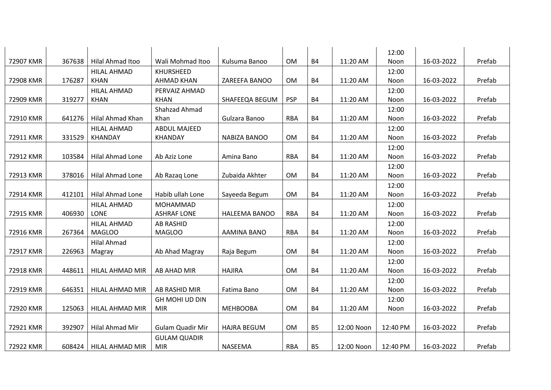| 72907 KMR | 367638 | Hilal Ahmad Itoo                  | Wali Mohmad Itoo                      | Kulsuma Banoo        | OM         | <b>B4</b> | 11:20 AM   | 12:00<br>Noon | 16-03-2022 | Prefab |
|-----------|--------|-----------------------------------|---------------------------------------|----------------------|------------|-----------|------------|---------------|------------|--------|
|           |        |                                   |                                       |                      |            |           |            |               |            |        |
| 72908 KMR | 176287 | <b>HILAL AHMAD</b><br><b>KHAN</b> | <b>KHURSHEED</b><br><b>AHMAD KHAN</b> | ZAREEFA BANOO        | <b>OM</b>  | <b>B4</b> | 11:20 AM   | 12:00<br>Noon | 16-03-2022 | Prefab |
|           |        | <b>HILAL AHMAD</b>                | PERVAIZ AHMAD                         |                      |            |           |            | 12:00         |            |        |
| 72909 KMR | 319277 | <b>KHAN</b>                       | <b>KHAN</b>                           | SHAFEEQA BEGUM       | <b>PSP</b> | <b>B4</b> | 11:20 AM   | Noon          | 16-03-2022 | Prefab |
|           |        |                                   | Shahzad Ahmad                         |                      |            |           |            | 12:00         |            |        |
| 72910 KMR | 641276 | Hilal Ahmad Khan                  | Khan                                  | Gulzara Banoo        | <b>RBA</b> | <b>B4</b> | 11:20 AM   | Noon          | 16-03-2022 | Prefab |
|           |        | <b>HILAL AHMAD</b>                | <b>ABDUL MAJEED</b>                   |                      |            |           |            | 12:00         |            |        |
| 72911 KMR | 331529 | <b>KHANDAY</b>                    | <b>KHANDAY</b>                        | NABIZA BANOO         | OM         | <b>B4</b> | 11:20 AM   | Noon          | 16-03-2022 | Prefab |
|           |        |                                   |                                       |                      |            |           |            | 12:00         |            |        |
| 72912 KMR | 103584 | Hilal Ahmad Lone                  | Ab Aziz Lone                          | Amina Bano           | <b>RBA</b> | <b>B4</b> | 11:20 AM   | Noon          | 16-03-2022 | Prefab |
|           |        |                                   |                                       |                      |            |           |            | 12:00         |            |        |
| 72913 KMR | 378016 | Hilal Ahmad Lone                  | Ab Razag Lone                         | Zubaida Akhter       | OM         | <b>B4</b> | 11:20 AM   | Noon          | 16-03-2022 | Prefab |
|           |        |                                   |                                       |                      |            |           |            | 12:00         |            |        |
| 72914 KMR | 412101 | Hilal Ahmad Lone                  | Habib ullah Lone                      | Sayeeda Begum        | OM         | <b>B4</b> | 11:20 AM   | Noon          | 16-03-2022 | Prefab |
|           |        | <b>HILAL AHMAD</b>                | MOHAMMAD                              |                      |            |           |            | 12:00         |            |        |
| 72915 KMR | 406930 | <b>LONE</b>                       | <b>ASHRAF LONE</b>                    | <b>HALEEMA BANOO</b> | <b>RBA</b> | <b>B4</b> | 11:20 AM   | Noon          | 16-03-2022 | Prefab |
|           |        | <b>HILAL AHMAD</b>                | <b>AB RASHID</b>                      |                      |            |           |            | 12:00         |            |        |
| 72916 KMR | 267364 | <b>MAGLOO</b>                     | <b>MAGLOO</b>                         | AAMINA BANO          | <b>RBA</b> | <b>B4</b> | 11:20 AM   | Noon          | 16-03-2022 | Prefab |
| 72917 KMR | 226963 | <b>Hilal Ahmad</b><br>Magray      | Ab Ahad Magray                        | Raja Begum           | <b>OM</b>  | <b>B4</b> | 11:20 AM   | 12:00<br>Noon | 16-03-2022 | Prefab |
|           |        |                                   |                                       |                      |            |           |            | 12:00         |            |        |
| 72918 KMR | 448611 | HILAL AHMAD MIR                   | <b>AB AHAD MIR</b>                    | <b>HAJIRA</b>        | <b>OM</b>  | <b>B4</b> | 11:20 AM   | Noon          | 16-03-2022 | Prefab |
|           |        |                                   |                                       |                      |            |           |            | 12:00         |            |        |
| 72919 KMR | 646351 | HILAL AHMAD MIR                   | AB RASHID MIR                         | Fatima Bano          | OM         | <b>B4</b> | 11:20 AM   | Noon          | 16-03-2022 | Prefab |
|           |        |                                   | <b>GH MOHI UD DIN</b>                 |                      |            |           |            | 12:00         |            |        |
| 72920 KMR | 125063 | HILAL AHMAD MIR                   | <b>MIR</b>                            | <b>MEHBOOBA</b>      | <b>OM</b>  | <b>B4</b> | 11:20 AM   | Noon          | 16-03-2022 | Prefab |
|           |        |                                   |                                       |                      |            |           |            |               |            |        |
| 72921 KMR | 392907 | Hilal Ahmad Mir                   | <b>Gulam Quadir Mir</b>               | <b>HAJRA BEGUM</b>   | <b>OM</b>  | <b>B5</b> | 12:00 Noon | 12:40 PM      | 16-03-2022 | Prefab |
|           |        |                                   | <b>GULAM QUADIR</b>                   |                      |            |           |            |               |            |        |
| 72922 KMR | 608424 | HILAL AHMAD MIR                   | <b>MIR</b>                            | <b>NASEEMA</b>       | <b>RBA</b> | <b>B5</b> | 12:00 Noon | 12:40 PM      | 16-03-2022 | Prefab |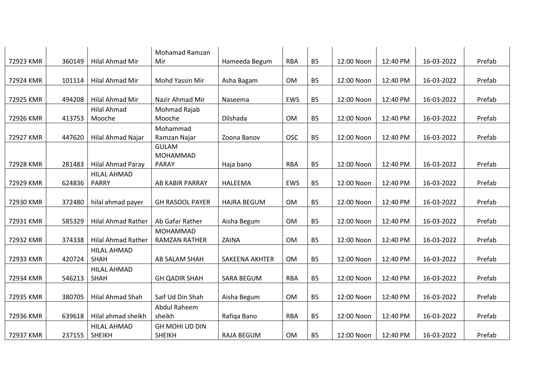| 72923 KMR | 360149 | Hilal Ahmad Mir                     | <b>Mohamad Ramzan</b><br>Mir           | Hameeda Begum         | <b>RBA</b> | <b>B5</b>      | 12:00 Noon | 12:40 PM | 16-03-2022 | Prefab |
|-----------|--------|-------------------------------------|----------------------------------------|-----------------------|------------|----------------|------------|----------|------------|--------|
|           |        |                                     |                                        |                       |            |                |            |          |            |        |
| 72924 KMR | 101114 | Hilal Ahmad Mir                     | Mohd Yassin Mir                        | Asha Bagam            | <b>OM</b>  | <b>B5</b>      | 12:00 Noon | 12:40 PM | 16-03-2022 | Prefab |
| 72925 KMR | 494208 | <b>Hilal Ahmad Mir</b>              | Nazir Ahmad Mir                        | Naseema               | EWS        | <b>B5</b>      | 12:00 Noon | 12:40 PM | 16-03-2022 | Prefab |
| 72926 KMR | 413753 | <b>Hilal Ahmad</b><br>Mooche        | Mohmad Rajab<br>Mooche                 | Dilshada              | <b>OM</b>  | B <sub>5</sub> | 12:00 Noon | 12:40 PM | 16-03-2022 | Prefab |
|           |        |                                     | Mohammad                               |                       |            |                |            |          |            |        |
| 72927 KMR | 447620 | <b>Hilal Ahmad Najar</b>            | Ramzan Najar<br><b>GULAM</b>           | Zoona Banov           | <b>OSC</b> | <b>B5</b>      | 12:00 Noon | 12:40 PM | 16-03-2022 | Prefab |
| 72928 KMR | 281483 | <b>Hilal Ahmad Paray</b>            | MOHAMMAD<br><b>PARAY</b>               | Haja bano             | <b>RBA</b> | <b>B5</b>      | 12:00 Noon | 12:40 PM | 16-03-2022 | Prefab |
|           |        | <b>HILAL AHMAD</b>                  |                                        |                       |            |                |            |          |            |        |
| 72929 KMR | 624836 | <b>PARRY</b>                        | AB KABIR PARRAY                        | <b>HALEEMA</b>        | EWS        | <b>B5</b>      | 12:00 Noon | 12:40 PM | 16-03-2022 | Prefab |
| 72930 KMR | 372480 | hilal ahmad payer                   | <b>GH RASOOL PAYER</b>                 | <b>HAJRA BEGUM</b>    | <b>OM</b>  | <b>B5</b>      | 12:00 Noon | 12:40 PM | 16-03-2022 | Prefab |
| 72931 KMR | 585329 | <b>Hilal Ahmad Rather</b>           | Ab Gafar Rather                        | Aisha Begum           | OM         | <b>B5</b>      | 12:00 Noon | 12:40 PM | 16-03-2022 | Prefab |
| 72932 KMR | 374338 | <b>Hilal Ahmad Rather</b>           | MOHAMMAD<br><b>RAMZAN RATHER</b>       | ZAINA                 | OM         | <b>B5</b>      | 12:00 Noon | 12:40 PM | 16-03-2022 | Prefab |
|           |        | <b>HILAL AHMAD</b>                  |                                        |                       |            |                |            |          |            |        |
| 72933 KMR | 420724 | <b>SHAH</b>                         | AB SALAM SHAH                          | <b>SAKEENA AKHTER</b> | OM         | <b>B5</b>      | 12:00 Noon | 12:40 PM | 16-03-2022 | Prefab |
| 72934 KMR | 546213 | <b>HILAL AHMAD</b><br><b>SHAH</b>   | <b>GH QADIR SHAH</b>                   | <b>SARA BEGUM</b>     | <b>RBA</b> | <b>B5</b>      | 12:00 Noon | 12:40 PM | 16-03-2022 | Prefab |
| 72935 KMR | 380705 | <b>Hilal Ahmad Shah</b>             | Saif Ud Din Shah                       | Aisha Begum           | OM         | <b>B5</b>      | 12:00 Noon | 12:40 PM | 16-03-2022 | Prefab |
|           |        |                                     | Abdul Raheem                           |                       |            |                |            |          |            |        |
| 72936 KMR | 639618 | Hilal ahmad sheikh                  | sheikh                                 | Rafiqa Bano           | <b>RBA</b> | <b>B5</b>      | 12:00 Noon | 12:40 PM | 16-03-2022 | Prefab |
| 72937 KMR | 237155 | <b>HILAL AHMAD</b><br><b>SHEIKH</b> | <b>GH MOHI UD DIN</b><br><b>SHEIKH</b> | <b>RAJA BEGUM</b>     | <b>OM</b>  | B <sub>5</sub> | 12:00 Noon | 12:40 PM | 16-03-2022 | Prefab |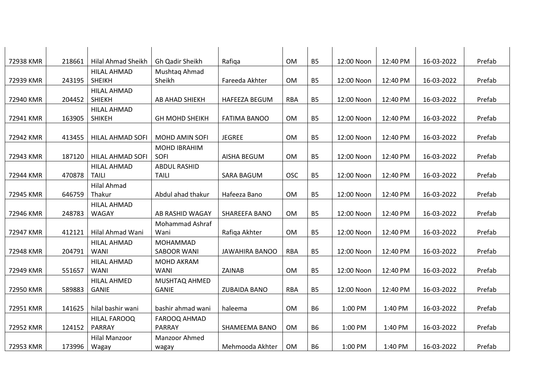| 72938 KMR                           | 218661                     | <b>Hilal Ahmad Sheikh</b>                                                    | Gh Qadir Sheikh                                                       | Rafiqa                                             | OM                    | <b>B5</b>                           | 12:00 Noon                    | 12:40 PM                      | 16-03-2022                             | Prefab                     |
|-------------------------------------|----------------------------|------------------------------------------------------------------------------|-----------------------------------------------------------------------|----------------------------------------------------|-----------------------|-------------------------------------|-------------------------------|-------------------------------|----------------------------------------|----------------------------|
|                                     |                            | <b>HILAL AHMAD</b>                                                           |                                                                       |                                                    |                       |                                     |                               |                               |                                        |                            |
| 72939 KMR                           | 243195                     | <b>SHEIKH</b>                                                                | Mushtag Ahmad<br>Sheikh                                               | Fareeda Akhter                                     | OM                    | B <sub>5</sub>                      | 12:00 Noon                    | 12:40 PM                      | 16-03-2022                             | Prefab                     |
|                                     |                            | <b>HILAL AHMAD</b>                                                           |                                                                       |                                                    |                       |                                     |                               |                               |                                        |                            |
| 72940 KMR                           | 204452                     | <b>SHIEKH</b>                                                                | AB AHAD SHIEKH                                                        | HAFEEZA BEGUM                                      | <b>RBA</b>            | <b>B5</b>                           | 12:00 Noon                    | 12:40 PM                      | 16-03-2022                             | Prefab                     |
|                                     |                            | <b>HILAL AHMAD</b>                                                           |                                                                       |                                                    |                       |                                     |                               |                               |                                        |                            |
| 72941 KMR                           | 163905                     | <b>SHIKEH</b>                                                                | <b>GH MOHD SHEIKH</b>                                                 | <b>FATIMA BANOO</b>                                | OM                    | <b>B5</b>                           | 12:00 Noon                    | 12:40 PM                      | 16-03-2022                             | Prefab                     |
|                                     |                            |                                                                              |                                                                       |                                                    |                       |                                     |                               |                               |                                        |                            |
| 72942 KMR                           | 413455                     | HILAL AHMAD SOFI                                                             | <b>MOHD AMIN SOFI</b>                                                 | <b>JEGREE</b>                                      | OM                    | <b>B5</b>                           | 12:00 Noon                    | 12:40 PM                      | 16-03-2022                             | Prefab                     |
|                                     |                            |                                                                              | <b>MOHD IBRAHIM</b>                                                   |                                                    |                       |                                     |                               |                               |                                        |                            |
| 72943 KMR                           | 187120                     | HILAL AHMAD SOFI                                                             | SOFI                                                                  | <b>AISHA BEGUM</b>                                 | <b>OM</b>             | <b>B5</b>                           | 12:00 Noon                    | 12:40 PM                      | 16-03-2022                             | Prefab                     |
|                                     |                            | <b>HILAL AHMAD</b>                                                           | <b>ABDUL RASHID</b>                                                   |                                                    |                       |                                     |                               |                               |                                        |                            |
| 72944 KMR                           | 470878                     | <b>TAILI</b>                                                                 | <b>TAILI</b>                                                          | SARA BAGUM                                         | <b>OSC</b>            | <b>B5</b>                           | 12:00 Noon                    | 12:40 PM                      | 16-03-2022                             | Prefab                     |
|                                     |                            | <b>Hilal Ahmad</b>                                                           |                                                                       |                                                    |                       |                                     |                               |                               |                                        |                            |
| 72945 KMR                           | 646759                     | Thakur                                                                       | Abdul ahad thakur                                                     | Hafeeza Bano                                       | OM                    | <b>B5</b>                           | 12:00 Noon                    | 12:40 PM                      | 16-03-2022                             | Prefab                     |
|                                     |                            | HILAL AHMAD                                                                  |                                                                       |                                                    |                       |                                     |                               |                               |                                        |                            |
| 72946 KMR                           | 248783                     | <b>WAGAY</b>                                                                 | AB RASHID WAGAY                                                       | SHAREEFA BANO                                      | <b>OM</b>             | <b>B5</b>                           | 12:00 Noon                    | 12:40 PM                      | 16-03-2022                             | Prefab                     |
|                                     |                            |                                                                              | Mohammad Ashraf                                                       |                                                    |                       |                                     |                               |                               |                                        |                            |
| 72947 KMR                           | 412121                     | Hilal Ahmad Wani                                                             | Wani                                                                  | Rafiga Akhter                                      | OM                    | <b>B5</b>                           | 12:00 Noon                    | 12:40 PM                      | 16-03-2022                             | Prefab                     |
|                                     |                            | <b>HILAL AHMAD</b>                                                           | MOHAMMAD                                                              |                                                    |                       |                                     |                               |                               |                                        |                            |
| 72948 KMR                           | 204791                     | <b>WANI</b>                                                                  | <b>SABOOR WANI</b>                                                    | <b>JAWAHIRA BANOO</b>                              | <b>RBA</b>            | <b>B5</b>                           | 12:00 Noon                    | 12:40 PM                      | 16-03-2022                             | Prefab                     |
|                                     |                            | <b>HILAL AHMAD</b>                                                           | MOHD AKRAM                                                            |                                                    |                       |                                     |                               |                               |                                        |                            |
| 72949 KMR                           | 551657                     | <b>WANI</b>                                                                  | <b>WANI</b>                                                           | ZAINAB                                             | <b>OM</b>             | <b>B5</b>                           | 12:00 Noon                    | 12:40 PM                      | 16-03-2022                             | Prefab                     |
|                                     |                            | <b>HILAL AHMED</b>                                                           | MUSHTAQ AHMED                                                         |                                                    |                       |                                     |                               |                               |                                        |                            |
| 72950 KMR                           | 589883                     | <b>GANIE</b>                                                                 | <b>GANIE</b>                                                          | <b>ZUBAIDA BANO</b>                                | <b>RBA</b>            | <b>B5</b>                           | 12:00 Noon                    | 12:40 PM                      | 16-03-2022                             | Prefab                     |
|                                     |                            |                                                                              |                                                                       |                                                    |                       |                                     |                               |                               |                                        |                            |
|                                     |                            |                                                                              |                                                                       |                                                    |                       |                                     |                               |                               |                                        |                            |
|                                     |                            |                                                                              |                                                                       |                                                    |                       |                                     |                               |                               |                                        |                            |
|                                     |                            |                                                                              |                                                                       |                                                    |                       |                                     |                               |                               |                                        |                            |
|                                     |                            |                                                                              |                                                                       |                                                    |                       |                                     |                               |                               |                                        |                            |
| 72951 KMR<br>72952 KMR<br>72953 KMR | 141625<br>124152<br>173996 | hilal bashir wani<br>HILAL FAROOQ<br>PARRAY<br><b>Hilal Manzoor</b><br>Wagay | bashir ahmad wani<br>FAROOQ AHMAD<br>PARRAY<br>Manzoor Ahmed<br>wagay | haleema<br><b>SHAMEEMA BANO</b><br>Mehmooda Akhter | OM<br><b>OM</b><br>OM | <b>B6</b><br><b>B6</b><br><b>B6</b> | 1:00 PM<br>1:00 PM<br>1:00 PM | 1:40 PM<br>1:40 PM<br>1:40 PM | 16-03-2022<br>16-03-2022<br>16-03-2022 | Prefab<br>Prefab<br>Prefab |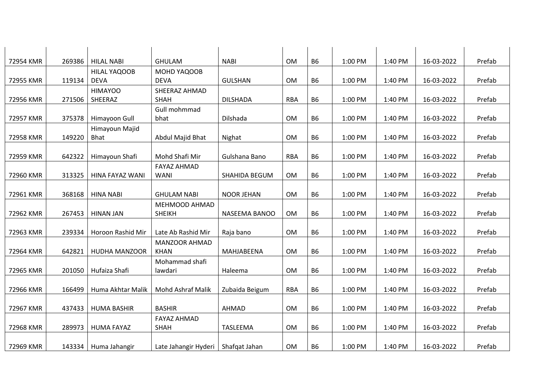| 72954 KMR | 269386 | <b>HILAL NABI</b>    | <b>GHULAM</b>            | <b>NABI</b>       | OM         | <b>B6</b>      | 1:00 PM | 1:40 PM | 16-03-2022 | Prefab |
|-----------|--------|----------------------|--------------------------|-------------------|------------|----------------|---------|---------|------------|--------|
|           |        | HILAL YAQOOB         | MOHD YAQOOB              |                   |            |                |         |         |            |        |
| 72955 KMR | 119134 | <b>DEVA</b>          | <b>DEVA</b>              | <b>GULSHAN</b>    | <b>OM</b>  | <b>B6</b>      | 1:00 PM | 1:40 PM | 16-03-2022 | Prefab |
|           |        | <b>HIMAYOO</b>       | SHEERAZ AHMAD            |                   |            |                |         |         |            |        |
| 72956 KMR | 271506 | SHEERAZ              | <b>SHAH</b>              | <b>DILSHADA</b>   | <b>RBA</b> | <b>B6</b>      | 1:00 PM | 1:40 PM | 16-03-2022 | Prefab |
|           |        |                      | Gull mohmmad             |                   |            |                |         |         |            |        |
| 72957 KMR | 375378 | Himayoon Gull        | bhat                     | Dilshada          | OM         | <b>B6</b>      | 1:00 PM | 1:40 PM | 16-03-2022 | Prefab |
|           |        | Himayoun Majid       |                          |                   |            |                |         |         |            |        |
| 72958 KMR | 149220 | <b>Bhat</b>          | Abdul Majid Bhat         | Nighat            | <b>OM</b>  | <b>B6</b>      | 1:00 PM | 1:40 PM | 16-03-2022 | Prefab |
|           |        |                      |                          |                   |            |                |         |         |            |        |
| 72959 KMR | 642322 | Himayoun Shafi       | Mohd Shafi Mir           | Gulshana Bano     | <b>RBA</b> | <b>B6</b>      | 1:00 PM | 1:40 PM | 16-03-2022 | Prefab |
|           |        |                      | <b>FAYAZ AHMAD</b>       |                   |            |                |         |         |            |        |
| 72960 KMR | 313325 | HINA FAYAZ WANI      | <b>WANI</b>              | SHAHIDA BEGUM     | OM         | B <sub>6</sub> | 1:00 PM | 1:40 PM | 16-03-2022 | Prefab |
|           |        |                      |                          |                   |            |                |         |         |            |        |
| 72961 KMR | 368168 | <b>HINA NABI</b>     | <b>GHULAM NABI</b>       | <b>NOOR JEHAN</b> | OM         | <b>B6</b>      | 1:00 PM | 1:40 PM | 16-03-2022 | Prefab |
|           |        |                      | MEHMOOD AHMAD            |                   |            |                |         |         |            |        |
| 72962 KMR | 267453 | <b>HINAN JAN</b>     | <b>SHEIKH</b>            | NASEEMA BANOO     | <b>OM</b>  | <b>B6</b>      | 1:00 PM | 1:40 PM | 16-03-2022 | Prefab |
|           |        |                      |                          |                   |            |                |         |         |            |        |
| 72963 KMR | 239334 | Horoon Rashid Mir    | Late Ab Rashid Mir       | Raja bano         | OM         | B <sub>6</sub> | 1:00 PM | 1:40 PM | 16-03-2022 | Prefab |
|           |        |                      | <b>MANZOOR AHMAD</b>     |                   |            |                |         |         |            |        |
| 72964 KMR | 642821 | <b>HUDHA MANZOOR</b> | <b>KHAN</b>              | MAHJABEENA        | OM         | <b>B6</b>      | 1:00 PM | 1:40 PM | 16-03-2022 | Prefab |
|           |        |                      | Mohammad shafi           |                   |            |                |         |         |            |        |
| 72965 KMR | 201050 | Hufaiza Shafi        | lawdari                  | Haleema           | OM         | <b>B6</b>      | 1:00 PM | 1:40 PM | 16-03-2022 | Prefab |
|           |        |                      |                          |                   |            |                |         |         |            |        |
| 72966 KMR | 166499 | Huma Akhtar Malik    | <b>Mohd Ashraf Malik</b> | Zubaida Beigum    | <b>RBA</b> | <b>B6</b>      | 1:00 PM | 1:40 PM | 16-03-2022 | Prefab |
|           |        |                      |                          |                   |            |                |         |         |            |        |
| 72967 KMR | 437433 | <b>HUMA BASHIR</b>   | <b>BASHIR</b>            | <b>AHMAD</b>      | OM         | <b>B6</b>      | 1:00 PM | 1:40 PM | 16-03-2022 | Prefab |
|           |        |                      | <b>FAYAZ AHMAD</b>       |                   |            |                |         |         |            |        |
| 72968 KMR | 289973 | <b>HUMA FAYAZ</b>    | <b>SHAH</b>              | TASLEEMA          | OM         | <b>B6</b>      | 1:00 PM | 1:40 PM | 16-03-2022 | Prefab |
|           |        |                      |                          |                   |            |                |         |         |            |        |
| 72969 KMR | 143334 | Huma Jahangir        | Late Jahangir Hyderi     | Shafqat Jahan     | <b>OM</b>  | <b>B6</b>      | 1:00 PM | 1:40 PM | 16-03-2022 | Prefab |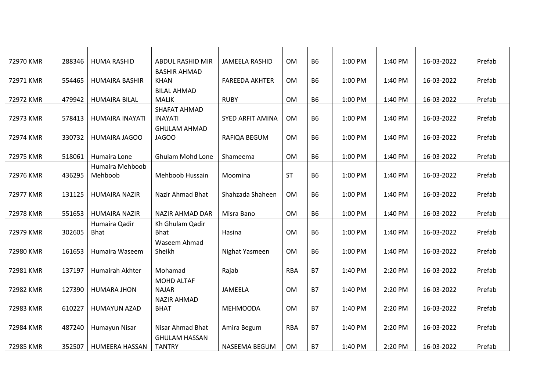| 72970 KMR | 288346 |                        | <b>ABDUL RASHID MIR</b>            |                         | OM         | <b>B6</b> | 1:00 PM | 1:40 PM | 16-03-2022 | Prefab |
|-----------|--------|------------------------|------------------------------------|-------------------------|------------|-----------|---------|---------|------------|--------|
|           |        | <b>HUMA RASHID</b>     |                                    | <b>JAMEELA RASHID</b>   |            |           |         |         |            |        |
| 72971 KMR | 554465 | <b>HUMAIRA BASHIR</b>  | <b>BASHIR AHMAD</b><br><b>KHAN</b> | <b>FAREEDA AKHTER</b>   | OM         | <b>B6</b> | 1:00 PM | 1:40 PM | 16-03-2022 | Prefab |
|           |        |                        | <b>BILAL AHMAD</b>                 |                         |            |           |         |         |            |        |
| 72972 KMR | 479942 | <b>HUMAIRA BILAL</b>   | <b>MALIK</b>                       | <b>RUBY</b>             | <b>OM</b>  | <b>B6</b> | 1:00 PM | 1:40 PM | 16-03-2022 | Prefab |
|           |        |                        | SHAFAT AHMAD                       |                         |            |           |         |         |            |        |
| 72973 KMR | 578413 | <b>HUMAIRA INAYATI</b> | <b>INAYATI</b>                     | <b>SYED ARFIT AMINA</b> | OM         | <b>B6</b> | 1:00 PM | 1:40 PM | 16-03-2022 | Prefab |
|           |        |                        | <b>GHULAM AHMAD</b>                |                         |            |           |         |         |            |        |
| 72974 KMR | 330732 | <b>HUMAIRA JAGOO</b>   | JAGOO                              | RAFIQA BEGUM            | OM         | <b>B6</b> | 1:00 PM | 1:40 PM | 16-03-2022 | Prefab |
|           |        |                        |                                    |                         |            |           |         |         |            |        |
| 72975 KMR | 518061 | Humaira Lone           | <b>Ghulam Mohd Lone</b>            | Shameema                | <b>OM</b>  | <b>B6</b> | 1:00 PM | 1:40 PM | 16-03-2022 | Prefab |
|           |        | Humaira Mehboob        |                                    |                         |            |           |         |         |            |        |
| 72976 KMR | 436295 | Mehboob                | Mehboob Hussain                    | Moomina                 | <b>ST</b>  | <b>B6</b> | 1:00 PM | 1:40 PM | 16-03-2022 | Prefab |
|           |        |                        |                                    |                         |            |           |         |         |            |        |
| 72977 KMR | 131125 | <b>HUMAIRA NAZIR</b>   | Nazir Ahmad Bhat                   | Shahzada Shaheen        | OM         | <b>B6</b> | 1:00 PM | 1:40 PM | 16-03-2022 | Prefab |
|           |        |                        |                                    |                         |            |           |         |         |            |        |
| 72978 KMR | 551653 | <b>HUMAIRA NAZIR</b>   | NAZIR AHMAD DAR                    | Misra Bano              | <b>OM</b>  | <b>B6</b> | 1:00 PM | 1:40 PM | 16-03-2022 | Prefab |
|           |        | Humaira Qadir          | Kh Ghulam Qadir                    |                         |            |           |         |         |            |        |
| 72979 KMR | 302605 | <b>Bhat</b>            | <b>Bhat</b>                        | Hasina                  | OM         | <b>B6</b> | 1:00 PM | 1:40 PM | 16-03-2022 | Prefab |
|           |        |                        | Waseem Ahmad                       |                         |            |           |         |         |            |        |
| 72980 KMR | 161653 | Humaira Waseem         | Sheikh                             | Nighat Yasmeen          | OM         | <b>B6</b> | 1:00 PM | 1:40 PM | 16-03-2022 | Prefab |
|           |        |                        |                                    |                         |            |           |         |         |            |        |
| 72981 KMR | 137197 | Humairah Akhter        | Mohamad                            | Rajab                   | <b>RBA</b> | <b>B7</b> | 1:40 PM | 2:20 PM | 16-03-2022 | Prefab |
|           |        |                        | MOHD ALTAF                         |                         |            |           |         |         |            |        |
| 72982 KMR | 127390 | <b>HUMARA JHON</b>     | <b>NAJAR</b>                       | JAMEELA                 | OM         | <b>B7</b> | 1:40 PM | 2:20 PM | 16-03-2022 | Prefab |
|           |        |                        | <b>NAZIR AHMAD</b>                 |                         |            |           |         |         |            |        |
| 72983 KMR | 610227 | <b>HUMAYUN AZAD</b>    | <b>BHAT</b>                        | <b>MEHMOODA</b>         | OM         | <b>B7</b> | 1:40 PM | 2:20 PM | 16-03-2022 | Prefab |
|           |        |                        |                                    |                         |            |           |         |         |            |        |
| 72984 KMR | 487240 | Humayun Nisar          | Nisar Ahmad Bhat                   | Amira Begum             | <b>RBA</b> | <b>B7</b> | 1:40 PM | 2:20 PM | 16-03-2022 | Prefab |
|           |        |                        | <b>GHULAM HASSAN</b>               |                         |            |           |         |         |            |        |
| 72985 KMR | 352507 | HUMEERA HASSAN         | <b>TANTRY</b>                      | <b>NASEEMA BEGUM</b>    | OM         | <b>B7</b> | 1:40 PM | 2:20 PM | 16-03-2022 | Prefab |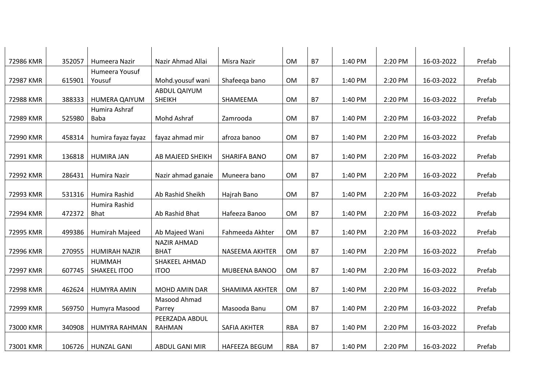| 72986 KMR | 352057 | Humeera Nazir        | Nazir Ahmad Allai     | Misra Nazir           | OM         | <b>B7</b> | 1:40 PM | 2:20 PM | 16-03-2022 | Prefab |
|-----------|--------|----------------------|-----------------------|-----------------------|------------|-----------|---------|---------|------------|--------|
|           |        | Humeera Yousuf       |                       |                       |            |           |         |         |            |        |
| 72987 KMR | 615901 | Yousuf               | Mohd.yousuf wani      | Shafeega bano         | <b>OM</b>  | <b>B7</b> | 1:40 PM | 2:20 PM | 16-03-2022 | Prefab |
|           |        |                      | ABDUL QAIYUM          |                       |            |           |         |         |            |        |
| 72988 KMR | 388333 | <b>HUMERA QAIYUM</b> | <b>SHEIKH</b>         | SHAMEEMA              | <b>OM</b>  | <b>B7</b> | 1:40 PM | 2:20 PM | 16-03-2022 | Prefab |
|           |        | Humira Ashraf        |                       |                       |            |           |         |         |            |        |
| 72989 KMR | 525980 | <b>Baba</b>          | Mohd Ashraf           | Zamrooda              | OM         | <b>B7</b> | 1:40 PM | 2:20 PM | 16-03-2022 | Prefab |
|           |        |                      |                       |                       |            |           |         |         |            |        |
| 72990 KMR | 458314 | humira fayaz fayaz   | fayaz ahmad mir       | afroza banoo          | OM         | <b>B7</b> | 1:40 PM | 2:20 PM | 16-03-2022 | Prefab |
|           |        |                      |                       |                       |            |           |         |         |            |        |
| 72991 KMR | 136818 | <b>HUMIRA JAN</b>    | AB MAJEED SHEIKH      | <b>SHARIFA BANO</b>   | <b>OM</b>  | <b>B7</b> | 1:40 PM | 2:20 PM | 16-03-2022 | Prefab |
|           |        |                      |                       |                       |            |           |         |         |            |        |
| 72992 KMR | 286431 | Humira Nazir         | Nazir ahmad ganaie    | Muneera bano          | OM         | <b>B7</b> | 1:40 PM | 2:20 PM | 16-03-2022 | Prefab |
|           |        |                      |                       |                       |            |           |         |         |            |        |
| 72993 KMR | 531316 | Humira Rashid        | Ab Rashid Sheikh      | Hajrah Bano           | OM         | <b>B7</b> | 1:40 PM | 2:20 PM | 16-03-2022 | Prefab |
|           |        | Humira Rashid        |                       |                       |            |           |         |         |            |        |
| 72994 KMR | 472372 | <b>Bhat</b>          | Ab Rashid Bhat        | Hafeeza Banoo         | <b>OM</b>  | <b>B7</b> | 1:40 PM | 2:20 PM | 16-03-2022 | Prefab |
|           |        |                      |                       |                       |            |           |         |         |            |        |
| 72995 KMR | 499386 | Humirah Majeed       | Ab Majeed Wani        | Fahmeeda Akhter       | OM         | <b>B7</b> | 1:40 PM | 2:20 PM | 16-03-2022 | Prefab |
|           |        |                      | <b>NAZIR AHMAD</b>    |                       |            |           |         |         |            |        |
| 72996 KMR | 270955 | <b>HUMIRAH NAZIR</b> | <b>BHAT</b>           | NASEEMA AKHTER        | OM         | <b>B7</b> | 1:40 PM | 2:20 PM | 16-03-2022 | Prefab |
|           |        | <b>HUMMAH</b>        | SHAKEEL AHMAD         |                       |            |           |         |         |            |        |
| 72997 KMR | 607745 | SHAKEEL ITOO         | <b>ITOO</b>           | MUBEENA BANOO         | <b>OM</b>  | <b>B7</b> | 1:40 PM | 2:20 PM | 16-03-2022 | Prefab |
|           |        |                      |                       |                       |            |           |         |         |            |        |
| 72998 KMR |        |                      | <b>MOHD AMIN DAR</b>  |                       |            | <b>B7</b> | 1:40 PM |         |            |        |
|           | 462624 | <b>HUMYRA AMIN</b>   |                       | <b>SHAMIMA AKHTER</b> | OM         |           |         | 2:20 PM | 16-03-2022 | Prefab |
|           |        |                      | Masood Ahmad          |                       |            |           |         |         |            |        |
| 72999 KMR | 569750 | Humyra Masood        | Parrey                | Masooda Banu          | OM         | <b>B7</b> | 1:40 PM | 2:20 PM | 16-03-2022 | Prefab |
|           |        |                      | PEERZADA ABDUL        |                       |            |           |         |         |            |        |
| 73000 KMR | 340908 | HUMYRA RAHMAN        | <b>RAHMAN</b>         | <b>SAFIA AKHTER</b>   | <b>RBA</b> | <b>B7</b> | 1:40 PM | 2:20 PM | 16-03-2022 | Prefab |
|           |        |                      |                       |                       |            |           |         |         |            |        |
| 73001 KMR | 106726 | <b>HUNZAL GANI</b>   | <b>ABDUL GANI MIR</b> | <b>HAFEEZA BEGUM</b>  | <b>RBA</b> | <b>B7</b> | 1:40 PM | 2:20 PM | 16-03-2022 | Prefab |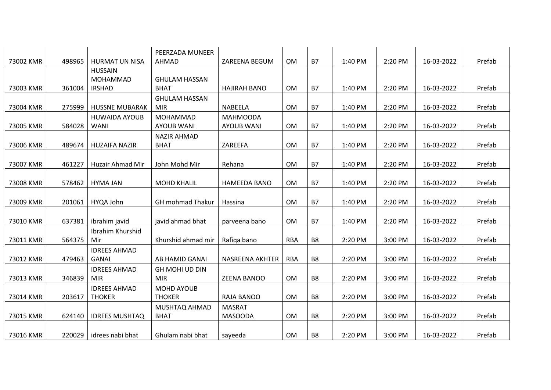|           |        |                         | PEERZADA MUNEER         |                        |            |                |         |         |            |        |
|-----------|--------|-------------------------|-------------------------|------------------------|------------|----------------|---------|---------|------------|--------|
| 73002 KMR | 498965 | <b>HURMAT UN NISA</b>   | AHMAD                   | ZAREENA BEGUM          | <b>OM</b>  | <b>B7</b>      | 1:40 PM | 2:20 PM | 16-03-2022 | Prefab |
|           |        | <b>HUSSAIN</b>          |                         |                        |            |                |         |         |            |        |
|           |        | <b>MOHAMMAD</b>         | <b>GHULAM HASSAN</b>    |                        |            |                |         |         |            |        |
| 73003 KMR | 361004 | <b>IRSHAD</b>           | <b>BHAT</b>             | <b>HAJIRAH BANO</b>    | <b>OM</b>  | <b>B7</b>      | 1:40 PM | 2:20 PM | 16-03-2022 | Prefab |
|           |        |                         | <b>GHULAM HASSAN</b>    |                        |            |                |         |         |            |        |
| 73004 KMR | 275999 | <b>HUSSNE MUBARAK</b>   | <b>MIR</b>              | <b>NABEELA</b>         | <b>OM</b>  | <b>B7</b>      | 1:40 PM | 2:20 PM | 16-03-2022 | Prefab |
|           |        | <b>HUWAIDA AYOUB</b>    | MOHAMMAD                | <b>MAHMOODA</b>        |            |                |         |         |            |        |
| 73005 KMR | 584028 | <b>WANI</b>             | <b>AYOUB WANI</b>       | <b>AYOUB WANI</b>      | <b>OM</b>  | <b>B7</b>      | 1:40 PM | 2:20 PM | 16-03-2022 | Prefab |
|           |        |                         | <b>NAZIR AHMAD</b>      |                        |            |                |         |         |            |        |
| 73006 KMR | 489674 | <b>HUZAIFA NAZIR</b>    | <b>BHAT</b>             | ZAREEFA                | OM         | <b>B7</b>      | 1:40 PM | 2:20 PM | 16-03-2022 | Prefab |
|           |        |                         |                         |                        |            |                |         |         |            |        |
| 73007 KMR | 461227 | <b>Huzair Ahmad Mir</b> | John Mohd Mir           | Rehana                 | <b>OM</b>  | <b>B7</b>      | 1:40 PM | 2:20 PM | 16-03-2022 | Prefab |
|           |        |                         |                         |                        |            |                |         |         |            |        |
| 73008 KMR | 578462 | <b>HYMA JAN</b>         | <b>MOHD KHALIL</b>      | <b>HAMEEDA BANO</b>    | <b>OM</b>  | <b>B7</b>      | 1:40 PM | 2:20 PM | 16-03-2022 | Prefab |
|           |        |                         |                         |                        |            |                |         |         |            |        |
| 73009 KMR | 201061 | HYQA John               | <b>GH</b> mohmad Thakur | Hassina                | OM         | <b>B7</b>      | 1:40 PM | 2:20 PM | 16-03-2022 | Prefab |
|           |        |                         |                         |                        |            |                |         |         |            |        |
| 73010 KMR | 637381 | ibrahim javid           | javid ahmad bhat        | parveena bano          | OM         | <b>B7</b>      | 1:40 PM | 2:20 PM | 16-03-2022 | Prefab |
|           |        | Ibrahim Khurshid        |                         |                        |            |                |         |         |            |        |
| 73011 KMR | 564375 | Mir                     | Khurshid ahmad mir      | Rafiga bano            | <b>RBA</b> | B <sub>8</sub> | 2:20 PM | 3:00 PM | 16-03-2022 | Prefab |
|           |        | <b>IDREES AHMAD</b>     |                         |                        |            |                |         |         |            |        |
| 73012 KMR | 479463 | <b>GANAI</b>            | AB HAMID GANAI          | <b>NASREENA AKHTER</b> | <b>RBA</b> | B <sub>8</sub> | 2:20 PM | 3:00 PM | 16-03-2022 | Prefab |
|           |        | <b>IDREES AHMAD</b>     | GH MOHI UD DIN          |                        |            |                |         |         |            |        |
| 73013 KMR | 346839 | <b>MIR</b>              | <b>MIR</b>              | ZEENA BANOO            | <b>OM</b>  | B <sub>8</sub> | 2:20 PM | 3:00 PM | 16-03-2022 | Prefab |
|           |        | <b>IDREES AHMAD</b>     | <b>MOHD AYOUB</b>       |                        |            |                |         |         |            |        |
| 73014 KMR | 203617 | <b>THOKER</b>           | <b>THOKER</b>           | <b>RAJA BANOO</b>      | <b>OM</b>  | B <sub>8</sub> | 2:20 PM | 3:00 PM | 16-03-2022 | Prefab |
|           |        |                         | MUSHTAQ AHMAD           | <b>MASRAT</b>          |            |                |         |         |            |        |
| 73015 KMR | 624140 | <b>IDREES MUSHTAQ</b>   | <b>BHAT</b>             | <b>MASOODA</b>         | OM         | B <sub>8</sub> | 2:20 PM | 3:00 PM | 16-03-2022 | Prefab |
|           |        |                         |                         |                        |            |                |         |         |            |        |
| 73016 KMR | 220029 | idrees nabi bhat        | Ghulam nabi bhat        | sayeeda                | <b>OM</b>  | B <sub>8</sub> | 2:20 PM | 3:00 PM | 16-03-2022 | Prefab |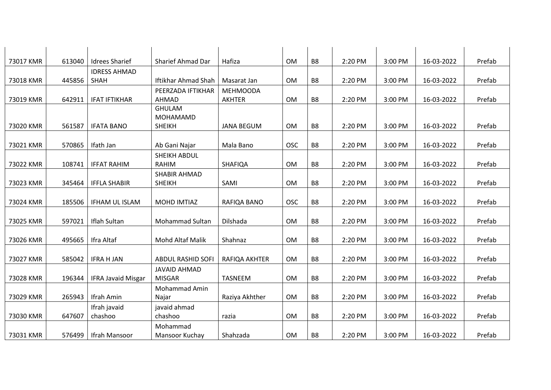| 73017 KMR | 613040 | <b>Idrees Sharief</b>     | Sharief Ahmad Dar        | Hafiza            | <b>OM</b>  | B <sub>8</sub> | 2:20 PM | 3:00 PM | 16-03-2022 | Prefab |
|-----------|--------|---------------------------|--------------------------|-------------------|------------|----------------|---------|---------|------------|--------|
|           |        | <b>IDRESS AHMAD</b>       |                          |                   |            |                |         |         |            |        |
| 73018 KMR | 445856 | <b>SHAH</b>               | Iftikhar Ahmad Shah      | Masarat Jan       | <b>OM</b>  | B <sub>8</sub> | 2:20 PM | 3:00 PM | 16-03-2022 | Prefab |
|           |        |                           | PEERZADA IFTIKHAR        | <b>MEHMOODA</b>   |            |                |         |         |            |        |
| 73019 KMR | 642911 | <b>IFAT IFTIKHAR</b>      | AHMAD                    | <b>AKHTER</b>     | OM         | B <sub>8</sub> | 2:20 PM | 3:00 PM | 16-03-2022 | Prefab |
|           |        |                           | <b>GHULAM</b>            |                   |            |                |         |         |            |        |
|           |        |                           | MOHAMAMD                 |                   |            |                |         |         |            |        |
| 73020 KMR | 561587 | <b>IFATA BANO</b>         | <b>SHEIKH</b>            | <b>JANA BEGUM</b> | OM         | B <sub>8</sub> | 2:20 PM | 3:00 PM | 16-03-2022 | Prefab |
|           |        |                           |                          |                   |            |                |         |         |            |        |
| 73021 KMR | 570865 | Ifath Jan                 | Ab Gani Najar            | Mala Bano         | <b>OSC</b> | B <sub>8</sub> | 2:20 PM | 3:00 PM | 16-03-2022 | Prefab |
|           |        |                           | SHEIKH ABDUL             |                   |            |                |         |         |            |        |
| 73022 KMR | 108741 | <b>IFFAT RAHIM</b>        | <b>RAHIM</b>             | SHAFIQA           | OM         | B <sub>8</sub> | 2:20 PM | 3:00 PM | 16-03-2022 | Prefab |
|           |        |                           | SHABIR AHMAD             |                   |            |                |         |         |            |        |
| 73023 KMR | 345464 | <b>IFFLA SHABIR</b>       | <b>SHEIKH</b>            | SAMI              | OM         | B <sub>8</sub> | 2:20 PM | 3:00 PM | 16-03-2022 | Prefab |
|           |        |                           |                          |                   |            |                |         |         |            |        |
| 73024 KMR | 185506 | <b>IFHAM UL ISLAM</b>     | MOHD IMTIAZ              | RAFIQA BANO       | <b>OSC</b> | B <sub>8</sub> | 2:20 PM | 3:00 PM | 16-03-2022 | Prefab |
|           |        |                           |                          |                   |            |                |         |         |            |        |
| 73025 KMR | 597021 | Iflah Sultan              | <b>Mohammad Sultan</b>   | Dilshada          | <b>OM</b>  | B <sub>8</sub> | 2:20 PM | 3:00 PM | 16-03-2022 | Prefab |
|           |        |                           |                          |                   |            |                |         |         |            |        |
| 73026 KMR | 495665 | Ifra Altaf                | <b>Mohd Altaf Malik</b>  | Shahnaz           | <b>OM</b>  | B <sub>8</sub> | 2:20 PM | 3:00 PM | 16-03-2022 | Prefab |
|           |        |                           |                          |                   |            |                |         |         |            |        |
| 73027 KMR | 585042 | <b>IFRA H JAN</b>         | <b>ABDUL RASHID SOFI</b> | RAFIQA AKHTER     | OM         | B <sub>8</sub> | 2:20 PM | 3:00 PM | 16-03-2022 | Prefab |
|           |        |                           | <b>JAVAID AHMAD</b>      |                   |            |                |         |         |            |        |
| 73028 KMR | 196344 | <b>IFRA Javaid Misgar</b> | <b>MISGAR</b>            | <b>TASNEEM</b>    | <b>OM</b>  | B <sub>8</sub> | 2:20 PM | 3:00 PM | 16-03-2022 | Prefab |
|           |        |                           | Mohammad Amin            |                   |            |                |         |         |            |        |
| 73029 KMR | 265943 | Ifrah Amin                | Najar                    | Raziya Akhther    | OM         | B <sub>8</sub> | 2:20 PM | 3:00 PM | 16-03-2022 | Prefab |
|           |        | Ifrah javaid              | javaid ahmad             |                   |            |                |         |         |            |        |
| 73030 KMR | 647607 | chashoo                   | chashoo                  | razia             | OM         | B <sub>8</sub> | 2:20 PM | 3:00 PM | 16-03-2022 | Prefab |
|           |        |                           | Mohammad                 |                   |            |                |         |         |            |        |
| 73031 KMR | 576499 | Ifrah Mansoor             | Mansoor Kuchay           | Shahzada          | OM         | B <sub>8</sub> | 2:20 PM | 3:00 PM | 16-03-2022 | Prefab |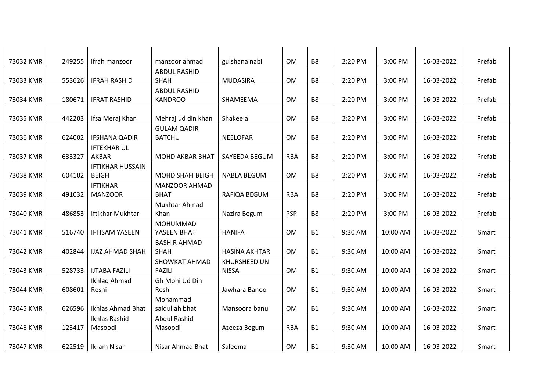| 73032 KMR | 249255 | ifrah manzoor           | manzoor ahmad              | gulshana nabi        | <b>OM</b>  | B8             | 2:20 PM | 3:00 PM  | 16-03-2022 | Prefab |
|-----------|--------|-------------------------|----------------------------|----------------------|------------|----------------|---------|----------|------------|--------|
|           |        |                         | <b>ABDUL RASHID</b>        |                      |            |                |         |          |            |        |
| 73033 KMR | 553626 | <b>IFRAH RASHID</b>     | <b>SHAH</b>                | <b>MUDASIRA</b>      | <b>OM</b>  | B8             | 2:20 PM | 3:00 PM  | 16-03-2022 | Prefab |
|           |        |                         | <b>ABDUL RASHID</b>        |                      |            |                |         |          |            |        |
| 73034 KMR | 180671 | <b>IFRAT RASHID</b>     | <b>KANDROO</b>             | SHAMEEMA             | <b>OM</b>  | B <sub>8</sub> | 2:20 PM | 3:00 PM  | 16-03-2022 | Prefab |
|           |        |                         |                            |                      |            |                |         |          |            |        |
| 73035 KMR | 442203 | Ifsa Meraj Khan         | Mehraj ud din khan         | Shakeela             | <b>OM</b>  | B8             | 2:20 PM | 3:00 PM  | 16-03-2022 | Prefab |
|           |        |                         | <b>GULAM QADIR</b>         |                      |            |                |         |          |            |        |
| 73036 KMR | 624002 | <b>IFSHANA QADIR</b>    | <b>BATCHU</b>              | <b>NEELOFAR</b>      | <b>OM</b>  | B <sub>8</sub> | 2:20 PM | 3:00 PM  | 16-03-2022 | Prefab |
|           |        | <b>IFTEKHAR UL</b>      |                            |                      |            |                |         |          |            |        |
| 73037 KMR | 633327 | AKBAR                   | <b>MOHD AKBAR BHAT</b>     | SAYEEDA BEGUM        | <b>RBA</b> | <b>B8</b>      | 2:20 PM | 3:00 PM  | 16-03-2022 | Prefab |
|           |        | <b>IFTIKHAR HUSSAIN</b> |                            |                      |            |                |         |          |            |        |
| 73038 KMR | 604102 | <b>BEIGH</b>            | <b>MOHD SHAFI BEIGH</b>    | <b>NABLA BEGUM</b>   | OM         | B8             | 2:20 PM | 3:00 PM  | 16-03-2022 | Prefab |
|           |        | <b>IFTIKHAR</b>         | <b>MANZOOR AHMAD</b>       |                      |            |                |         |          |            |        |
| 73039 KMR | 491032 | <b>MANZOOR</b>          | <b>BHAT</b>                | RAFIQA BEGUM         | <b>RBA</b> | B <sub>8</sub> | 2:20 PM | 3:00 PM  | 16-03-2022 | Prefab |
|           |        |                         | Mukhtar Ahmad              |                      |            |                |         |          |            |        |
| 73040 KMR | 486853 | Iftikhar Mukhtar        | Khan                       | Nazira Begum         | <b>PSP</b> | <b>B8</b>      | 2:20 PM | 3:00 PM  | 16-03-2022 | Prefab |
|           |        |                         | MOHUMMAD                   |                      |            |                |         |          |            |        |
| 73041 KMR | 516740 | <b>IFTISAM YASEEN</b>   | YASEEN BHAT                | <b>HANIFA</b>        | OM         | <b>B1</b>      | 9:30 AM | 10:00 AM | 16-03-2022 | Smart  |
|           |        |                         | <b>BASHIR AHMAD</b>        |                      |            |                |         |          |            |        |
| 73042 KMR | 402844 | <b>IJAZ AHMAD SHAH</b>  | SHAH                       | <b>HASINA AKHTAR</b> | <b>OM</b>  | <b>B1</b>      | 9:30 AM | 10:00 AM | 16-03-2022 | Smart  |
|           |        |                         | <b>SHOWKAT AHMAD</b>       | KHURSHEED UN         |            |                |         |          |            |        |
| 73043 KMR | 528733 | <b>IJTABA FAZILI</b>    | <b>FAZILI</b>              | <b>NISSA</b>         | <b>OM</b>  | <b>B1</b>      | 9:30 AM | 10:00 AM | 16-03-2022 | Smart  |
|           | 608601 | Ikhlaq Ahmad            | Gh Mohi Ud Din             |                      |            |                |         |          |            |        |
| 73044 KMR |        | Reshi                   | Reshi                      | Jawhara Banoo        | <b>OM</b>  | <b>B1</b>      | 9:30 AM | 10:00 AM | 16-03-2022 | Smart  |
| 73045 KMR | 626596 | Ikhlas Ahmad Bhat       | Mohammad<br>saidullah bhat | Mansoora banu        | <b>OM</b>  | <b>B1</b>      |         |          |            |        |
|           |        |                         |                            |                      |            |                | 9:30 AM | 10:00 AM | 16-03-2022 | Smart  |
| 73046 KMR | 123417 | Ikhlas Rashid           | <b>Abdul Rashid</b>        |                      | <b>RBA</b> | <b>B1</b>      | 9:30 AM |          | 16-03-2022 |        |
|           |        | Masoodi                 | Masoodi                    | Azeeza Begum         |            |                |         | 10:00 AM |            | Smart  |
| 73047 KMR | 622519 | Ikram Nisar             | Nisar Ahmad Bhat           | Saleema              | OM         | <b>B1</b>      | 9:30 AM | 10:00 AM | 16-03-2022 | Smart  |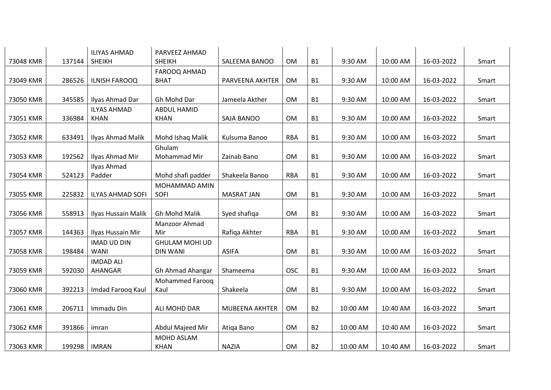| 73048 KMR | 137144 | <b>ILIYAS AHMAD</b><br><b>SHEIKH</b> | PARVEEZ AHMAD<br><b>SHEIKH</b>           | SALEEMA BANOO     | OM         | <b>B1</b> | 9:30 AM  | 10:00 AM | 16-03-2022 | Smart |
|-----------|--------|--------------------------------------|------------------------------------------|-------------------|------------|-----------|----------|----------|------------|-------|
|           |        |                                      |                                          |                   |            |           |          |          |            |       |
| 73049 KMR | 286526 | <b>ILNISH FAROOQ</b>                 | FAROOQ AHMAD<br><b>BHAT</b>              | PARVEENA AKHTER   | OM         | <b>B1</b> | 9:30 AM  | 10:00 AM | 16-03-2022 | Smart |
| 73050 KMR | 345585 | Ilyas Ahmad Dar                      | Gh Mohd Dar                              | Jameela Akther    | OM         | <b>B1</b> | 9:30 AM  | 10:00 AM | 16-03-2022 | Smart |
| 73051 KMR | 336984 | <b>ILYAS AHMAD</b><br><b>KHAN</b>    | <b>ABDUL HAMID</b><br><b>KHAN</b>        | SAJA BANOO        | OM         | <b>B1</b> | 9:30 AM  | 10:00 AM | 16-03-2022 | Smart |
| 73052 KMR | 633491 | Ilyas Ahmad Malik                    | Mohd Ishaq Malik                         | Kulsuma Banoo     | <b>RBA</b> | <b>B1</b> | 9:30 AM  | 10:00 AM | 16-03-2022 | Smart |
| 73053 KMR | 192562 | Ilyas Ahmad Mir                      | Ghulam<br>Mohammad Mir                   | Zainab Bano       | <b>OM</b>  | <b>B1</b> | 9:30 AM  | 10:00 AM | 16-03-2022 | Smart |
| 73054 KMR | 524123 | Ilyas Ahmad<br>Padder                | Mohd shafi padder                        | Shakeela Banoo    | <b>RBA</b> | <b>B1</b> | 9:30 AM  | 10:00 AM | 16-03-2022 | Smart |
| 73055 KMR | 225832 | <b>ILYAS AHMAD SOFI</b>              | MOHAMMAD AMIN<br>SOFI                    | <b>MASRAT JAN</b> | OM         | <b>B1</b> | 9:30 AM  | 10:00 AM | 16-03-2022 | Smart |
| 73056 KMR | 558913 | Ilyas Hussain Malik                  | Gh Mohd Malik                            | Syed shafiqa      | OM         | <b>B1</b> | 9:30 AM  | 10:00 AM | 16-03-2022 | Smart |
| 73057 KMR | 144363 | Ilyas Hussain Mir                    | Manzoor Ahmad<br>Mir                     | Rafiqa Akhter     | <b>RBA</b> | <b>B1</b> | 9:30 AM  | 10:00 AM | 16-03-2022 | Smart |
| 73058 KMR | 198484 | <b>IMAD UD DIN</b><br><b>WANI</b>    | <b>GHULAM MOHI UD</b><br><b>DIN WANI</b> | <b>ASIFA</b>      | OM         | <b>B1</b> | 9:30 AM  | 10:00 AM | 16-03-2022 | Smart |
| 73059 KMR | 592030 | <b>IMDAD ALI</b><br>AHANGAR          | Gh Ahmad Ahangar                         | Shameema          | <b>OSC</b> | <b>B1</b> | 9:30 AM  | 10:00 AM | 16-03-2022 | Smart |
| 73060 KMR | 392213 | Imdad Farooq Kaul                    | <b>Mohammed Faroog</b><br>Kaul           | Shakeela          | OM         | <b>B1</b> | 9:30 AM  | 10:00 AM | 16-03-2022 | Smart |
| 73061 KMR | 206711 | Immadu Din                           | ALI MOHD DAR                             | MUBEENA AKHTER    | OM         | <b>B2</b> | 10:00 AM | 10:40 AM | 16-03-2022 | Smart |
| 73062 KMR | 391866 | imran                                | Abdul Majeed Mir                         | Atiga Bano        | OM         | <b>B2</b> | 10:00 AM | 10:40 AM | 16-03-2022 | Smart |
| 73063 KMR | 199298 | <b>IMRAN</b>                         | MOHD ASLAM<br><b>KHAN</b>                | <b>NAZIA</b>      | OM         | <b>B2</b> | 10:00 AM | 10:40 AM | 16-03-2022 | Smart |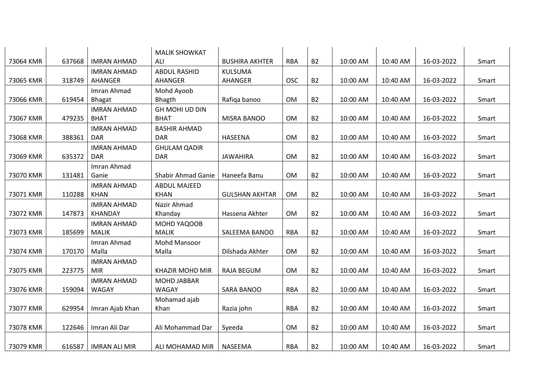|           |        |                      | <b>MALIK SHOWKAT</b>   |                       |            |           |          |          |            |       |
|-----------|--------|----------------------|------------------------|-----------------------|------------|-----------|----------|----------|------------|-------|
| 73064 KMR | 637668 | <b>IMRAN AHMAD</b>   | ALI                    | <b>BUSHIRA AKHTER</b> | <b>RBA</b> | <b>B2</b> | 10:00 AM | 10:40 AM | 16-03-2022 | Smart |
|           |        | <b>IMRAN AHMAD</b>   | <b>ABDUL RASHID</b>    | <b>KULSUMA</b>        |            |           |          |          |            |       |
| 73065 KMR | 318749 | AHANGER              | AHANGER                | AHANGER               | <b>OSC</b> | <b>B2</b> | 10:00 AM | 10:40 AM | 16-03-2022 | Smart |
|           |        | Imran Ahmad          | Mohd Ayoob             |                       |            |           |          |          |            |       |
| 73066 KMR | 619454 | <b>Bhagat</b>        | <b>Bhagth</b>          | Rafiqa banoo          | <b>OM</b>  | <b>B2</b> | 10:00 AM | 10:40 AM | 16-03-2022 | Smart |
|           |        | <b>IMRAN AHMAD</b>   | GH MOHI UD DIN         |                       |            |           |          |          |            |       |
| 73067 KMR | 479235 | <b>BHAT</b>          | <b>BHAT</b>            | MISRA BANOO           | <b>OM</b>  | <b>B2</b> | 10:00 AM | 10:40 AM | 16-03-2022 | Smart |
|           |        | <b>IMRAN AHMAD</b>   | <b>BASHIR AHMAD</b>    |                       |            |           |          |          |            |       |
| 73068 KMR | 388361 | <b>DAR</b>           | <b>DAR</b>             | HASEENA               | <b>OM</b>  | <b>B2</b> | 10:00 AM | 10:40 AM | 16-03-2022 | Smart |
|           |        | <b>IMRAN AHMAD</b>   | <b>GHULAM QADIR</b>    |                       |            |           |          |          |            |       |
| 73069 KMR | 635372 | <b>DAR</b>           | <b>DAR</b>             | <b>JAWAHIRA</b>       | <b>OM</b>  | <b>B2</b> | 10:00 AM | 10:40 AM | 16-03-2022 | Smart |
|           |        | Imran Ahmad          |                        |                       |            |           |          |          |            |       |
| 73070 KMR | 131481 | Ganie                | Shabir Ahmad Ganie     | Haneefa Banu          | <b>OM</b>  | <b>B2</b> | 10:00 AM | 10:40 AM | 16-03-2022 | Smart |
|           |        | <b>IMRAN AHMAD</b>   | <b>ABDUL MAJEED</b>    |                       |            |           |          |          |            |       |
| 73071 KMR | 110288 | <b>KHAN</b>          | <b>KHAN</b>            | <b>GULSHAN AKHTAR</b> | <b>OM</b>  | <b>B2</b> | 10:00 AM | 10:40 AM | 16-03-2022 | Smart |
|           |        | <b>IMRAN AHMAD</b>   | Nazir Ahmad            |                       |            |           |          |          |            |       |
| 73072 KMR | 147873 | <b>KHANDAY</b>       | Khanday                | Hassena Akhter        | <b>OM</b>  | <b>B2</b> | 10:00 AM | 10:40 AM | 16-03-2022 | Smart |
|           |        | <b>IMRAN AHMAD</b>   | MOHD YAQOOB            |                       |            |           |          |          |            |       |
| 73073 KMR | 185699 | <b>MALIK</b>         | <b>MALIK</b>           | SALEEMA BANOO         | <b>RBA</b> | <b>B2</b> | 10:00 AM | 10:40 AM | 16-03-2022 | Smart |
|           |        | Imran Ahmad          | Mohd Mansoor           |                       |            |           |          |          |            |       |
| 73074 KMR | 170170 | Malla                | Malla                  | Dilshada Akhter       | <b>OM</b>  | <b>B2</b> | 10:00 AM | 10:40 AM | 16-03-2022 | Smart |
|           |        | <b>IMRAN AHMAD</b>   |                        |                       |            |           |          |          |            |       |
| 73075 KMR | 223775 | <b>MIR</b>           | <b>KHAZIR MOHD MIR</b> | <b>RAJA BEGUM</b>     | <b>OM</b>  | <b>B2</b> | 10:00 AM | 10:40 AM | 16-03-2022 | Smart |
|           |        | <b>IMRAN AHMAD</b>   | MOHD JABBAR            |                       |            |           |          |          |            |       |
| 73076 KMR | 159094 | WAGAY                | WAGAY                  | <b>SARA BANOO</b>     | <b>RBA</b> | <b>B2</b> | 10:00 AM | 10:40 AM | 16-03-2022 | Smart |
|           |        |                      | Mohamad ajab           |                       |            |           |          |          |            |       |
| 73077 KMR | 629954 | Imran Ajab Khan      | Khan                   | Razia john            | <b>RBA</b> | <b>B2</b> | 10:00 AM | 10:40 AM | 16-03-2022 | Smart |
|           |        |                      |                        |                       |            |           |          |          |            |       |
| 73078 KMR | 122646 | Imran Ali Dar        | Ali Mohammad Dar       | Syeeda                | <b>OM</b>  | <b>B2</b> | 10:00 AM | 10:40 AM | 16-03-2022 | Smart |
|           |        |                      |                        |                       |            |           |          |          |            |       |
| 73079 KMR | 616587 | <b>IMRAN ALI MIR</b> | ALI MOHAMAD MIR        | NASEEMA               | <b>RBA</b> | <b>B2</b> | 10:00 AM | 10:40 AM | 16-03-2022 | Smart |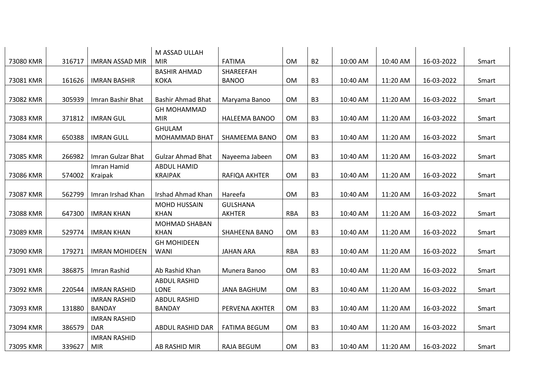|           |        |                        | M ASSAD ULLAH            |                      |            |                |          |          |            |       |
|-----------|--------|------------------------|--------------------------|----------------------|------------|----------------|----------|----------|------------|-------|
| 73080 KMR | 316717 | <b>IMRAN ASSAD MIR</b> | <b>MIR</b>               | <b>FATIMA</b>        | <b>OM</b>  | <b>B2</b>      | 10:00 AM | 10:40 AM | 16-03-2022 | Smart |
|           |        |                        | <b>BASHIR AHMAD</b>      | <b>SHAREEFAH</b>     |            |                |          |          |            |       |
| 73081 KMR | 161626 | <b>IMRAN BASHIR</b>    | <b>KOKA</b>              | <b>BANOO</b>         | OM         | B <sub>3</sub> | 10:40 AM | 11:20 AM | 16-03-2022 | Smart |
|           |        |                        |                          |                      |            |                |          |          |            |       |
| 73082 KMR | 305939 | Imran Bashir Bhat      | <b>Bashir Ahmad Bhat</b> | Maryama Banoo        | <b>OM</b>  | B <sub>3</sub> | 10:40 AM | 11:20 AM | 16-03-2022 | Smart |
|           |        |                        | <b>GH MOHAMMAD</b>       |                      |            |                |          |          |            |       |
| 73083 KMR | 371812 | <b>IMRAN GUL</b>       | <b>MIR</b>               | HALEEMA BANOO        | <b>OM</b>  | B <sub>3</sub> | 10:40 AM | 11:20 AM | 16-03-2022 | Smart |
|           |        |                        | <b>GHULAM</b>            |                      |            |                |          |          |            |       |
| 73084 KMR | 650388 | <b>IMRAN GULL</b>      | MOHAMMAD BHAT            | SHAMEEMA BANO        | OM         | B <sub>3</sub> | 10:40 AM | 11:20 AM | 16-03-2022 | Smart |
|           |        |                        |                          |                      |            |                |          |          |            |       |
| 73085 KMR | 266982 | Imran Gulzar Bhat      | <b>Gulzar Ahmad Bhat</b> | Nayeema Jabeen       | <b>OM</b>  | B <sub>3</sub> | 10:40 AM | 11:20 AM | 16-03-2022 | Smart |
|           |        | Imran Hamid            | <b>ABDUL HAMID</b>       |                      |            |                |          |          |            |       |
| 73086 KMR | 574002 | Kraipak                | <b>KRAIPAK</b>           | RAFIQA AKHTER        | <b>OM</b>  | B <sub>3</sub> | 10:40 AM | 11:20 AM | 16-03-2022 | Smart |
|           |        |                        |                          |                      |            |                |          |          |            |       |
| 73087 KMR | 562799 | Imran Irshad Khan      | <b>Irshad Ahmad Khan</b> | Hareefa              | OM         | B <sub>3</sub> | 10:40 AM | 11:20 AM | 16-03-2022 | Smart |
|           |        |                        | MOHD HUSSAIN             | <b>GULSHANA</b>      |            |                |          |          |            |       |
| 73088 KMR | 647300 | <b>IMRAN KHAN</b>      | <b>KHAN</b>              | <b>AKHTER</b>        | <b>RBA</b> | B <sub>3</sub> | 10:40 AM | 11:20 AM | 16-03-2022 | Smart |
|           |        |                        | <b>MOHMAD SHABAN</b>     |                      |            |                |          |          |            |       |
| 73089 KMR | 529774 | <b>IMRAN KHAN</b>      | <b>KHAN</b>              | <b>SHAHEENA BANO</b> | <b>OM</b>  | B <sub>3</sub> | 10:40 AM | 11:20 AM | 16-03-2022 | Smart |
|           |        |                        | <b>GH MOHIDEEN</b>       |                      |            |                |          |          |            |       |
| 73090 KMR | 179271 | <b>IMRAN MOHIDEEN</b>  | WANI                     | <b>JAHAN ARA</b>     | <b>RBA</b> | B <sub>3</sub> | 10:40 AM | 11:20 AM | 16-03-2022 | Smart |
|           |        |                        |                          |                      |            |                |          |          |            |       |
| 73091 KMR | 386875 | Imran Rashid           | Ab Rashid Khan           | Munera Banoo         | <b>OM</b>  | B <sub>3</sub> | 10:40 AM | 11:20 AM | 16-03-2022 | Smart |
|           |        |                        | <b>ABDUL RASHID</b>      |                      |            |                |          |          |            |       |
| 73092 KMR | 220544 | <b>IMRAN RASHID</b>    | <b>LONE</b>              | <b>JANA BAGHUM</b>   | <b>OM</b>  | B <sub>3</sub> | 10:40 AM | 11:20 AM | 16-03-2022 | Smart |
|           |        | <b>IMRAN RASHID</b>    | <b>ABDUL RASHID</b>      |                      |            |                |          |          |            |       |
| 73093 KMR | 131880 | <b>BANDAY</b>          | <b>BANDAY</b>            | PERVENA AKHTER       | OM         | B <sub>3</sub> | 10:40 AM | 11:20 AM | 16-03-2022 | Smart |
|           |        | <b>IMRAN RASHID</b>    |                          |                      |            |                |          |          |            |       |
| 73094 KMR | 386579 | <b>DAR</b>             | ABDUL RASHID DAR         | <b>FATIMA BEGUM</b>  | <b>OM</b>  | B <sub>3</sub> | 10:40 AM | 11:20 AM | 16-03-2022 | Smart |
|           |        | <b>IMRAN RASHID</b>    |                          |                      |            |                |          |          |            |       |
| 73095 KMR | 339627 | <b>MIR</b>             | AB RASHID MIR            | RAJA BEGUM           | <b>OM</b>  | B <sub>3</sub> | 10:40 AM | 11:20 AM | 16-03-2022 | Smart |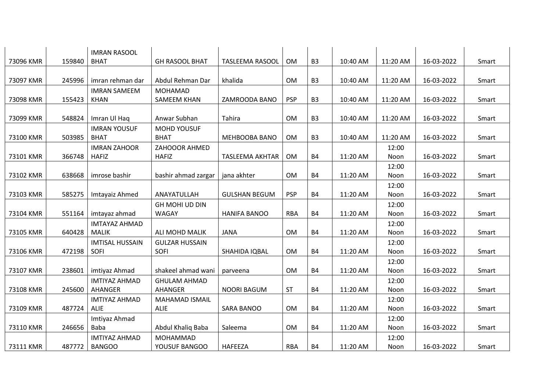|           |        | <b>IMRAN RASOOL</b>    |                                   |                        |            |                |          |          |            |       |
|-----------|--------|------------------------|-----------------------------------|------------------------|------------|----------------|----------|----------|------------|-------|
| 73096 KMR | 159840 | <b>BHAT</b>            | <b>GH RASOOL BHAT</b>             | <b>TASLEEMA RASOOL</b> | <b>OM</b>  | B <sub>3</sub> | 10:40 AM | 11:20 AM | 16-03-2022 | Smart |
|           |        |                        |                                   |                        |            |                |          |          |            |       |
| 73097 KMR | 245996 | imran rehman dar       | Abdul Rehman Dar                  | khalida                | <b>OM</b>  | B <sub>3</sub> | 10:40 AM | 11:20 AM | 16-03-2022 | Smart |
|           |        | <b>IMRAN SAMEEM</b>    | MOHAMAD                           |                        |            |                |          |          |            |       |
| 73098 KMR | 155423 | <b>KHAN</b>            | SAMEEM KHAN                       | ZAMROODA BANO          | <b>PSP</b> | B <sub>3</sub> | 10:40 AM | 11:20 AM | 16-03-2022 | Smart |
|           |        |                        |                                   |                        |            |                |          |          |            |       |
| 73099 KMR | 548824 | Imran Ul Haq           | Anwar Subhan                      | Tahira                 | <b>OM</b>  | B <sub>3</sub> | 10:40 AM | 11:20 AM | 16-03-2022 | Smart |
|           |        | <b>IMRAN YOUSUF</b>    | <b>MOHD YOUSUF</b>                |                        |            |                |          |          |            |       |
| 73100 KMR | 503985 | <b>BHAT</b>            | <b>BHAT</b>                       | <b>MEHBOOBA BANO</b>   | <b>OM</b>  | B <sub>3</sub> | 10:40 AM | 11:20 AM | 16-03-2022 | Smart |
|           |        | <b>IMRAN ZAHOOR</b>    | ZAHOOOR AHMED                     |                        |            |                |          | 12:00    |            |       |
| 73101 KMR | 366748 | <b>HAFIZ</b>           | <b>HAFIZ</b>                      | <b>TASLEEMA AKHTAR</b> | <b>OM</b>  | <b>B4</b>      | 11:20 AM | Noon     | 16-03-2022 | Smart |
|           |        |                        |                                   |                        |            |                |          | 12:00    |            |       |
| 73102 KMR | 638668 | imrose bashir          | bashir ahmad zargar   jana akhter |                        | OM         | <b>B4</b>      | 11:20 AM | Noon     | 16-03-2022 | Smart |
|           |        |                        |                                   |                        |            |                |          | 12:00    |            |       |
| 73103 KMR | 585275 | Imtayaiz Ahmed         | ANAYATULLAH                       | <b>GULSHAN BEGUM</b>   | <b>PSP</b> | <b>B4</b>      | 11:20 AM | Noon     | 16-03-2022 | Smart |
|           |        |                        | <b>GH MOHI UD DIN</b>             |                        |            |                |          | 12:00    |            |       |
| 73104 KMR | 551164 | imtayaz ahmad          | <b>WAGAY</b>                      | <b>HANIFA BANOO</b>    | <b>RBA</b> | <b>B4</b>      | 11:20 AM | Noon     | 16-03-2022 | Smart |
|           |        | <b>IMTAYAZ AHMAD</b>   |                                   |                        |            |                |          | 12:00    |            |       |
| 73105 KMR | 640428 | <b>MALIK</b>           | ALI MOHD MALIK                    | <b>JANA</b>            | <b>OM</b>  | <b>B4</b>      | 11:20 AM | Noon     | 16-03-2022 | Smart |
|           |        | <b>IMTISAL HUSSAIN</b> | <b>GULZAR HUSSAIN</b>             |                        |            |                |          | 12:00    |            |       |
| 73106 KMR | 472198 | SOFI                   | SOFI                              | SHAHIDA IQBAL          | OM         | <b>B4</b>      | 11:20 AM | Noon     | 16-03-2022 | Smart |
|           |        |                        |                                   |                        |            |                |          | 12:00    |            |       |
| 73107 KMR | 238601 | imtiyaz Ahmad          | shakeel ahmad wani                | parveena               | <b>OM</b>  | <b>B4</b>      | 11:20 AM | Noon     | 16-03-2022 | Smart |
|           |        | <b>IMTIYAZ AHMAD</b>   | <b>GHULAM AHMAD</b>               |                        |            |                |          | 12:00    |            |       |
| 73108 KMR | 245600 | AHANGER                | AHANGER                           | <b>NOORI BAGUM</b>     | <b>ST</b>  | <b>B4</b>      | 11:20 AM | Noon     | 16-03-2022 | Smart |
|           |        | <b>IMTIYAZ AHMAD</b>   | <b>MAHAMAD ISMAIL</b>             |                        |            |                |          | 12:00    |            |       |
| 73109 KMR | 487724 | ALIE                   | ALIE                              | SARA BANOO             | <b>OM</b>  | <b>B4</b>      | 11:20 AM | Noon     | 16-03-2022 | Smart |
|           |        | Imtiyaz Ahmad          |                                   |                        |            |                |          | 12:00    |            |       |
| 73110 KMR | 246656 | Baba                   | Abdul Khaliq Baba                 | Saleema                | <b>OM</b>  | <b>B4</b>      | 11:20 AM | Noon     | 16-03-2022 | Smart |
|           |        | <b>IMTIYAZ AHMAD</b>   | MOHAMMAD                          |                        |            |                |          | 12:00    |            |       |
| 73111 KMR | 487772 | <b>BANGOO</b>          | YOUSUF BANGOO                     | HAFEEZA                | <b>RBA</b> | <b>B4</b>      | 11:20 AM | Noon     | 16-03-2022 | Smart |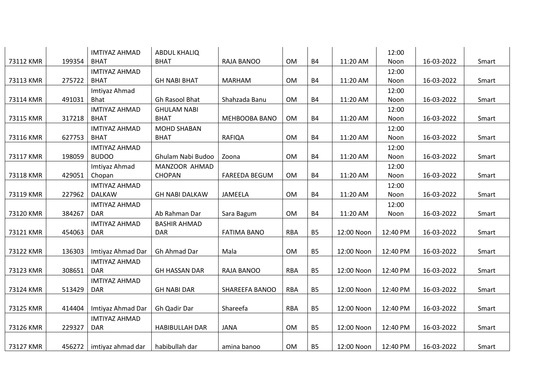|           | 199354 | <b>IMTIYAZ AHMAD</b><br><b>BHAT</b>         | <b>ABDUL KHALIQ</b><br><b>BHAT</b> | RAJA BANOO           | OM         | <b>B4</b> |            | 12:00         | 16-03-2022 | Smart |
|-----------|--------|---------------------------------------------|------------------------------------|----------------------|------------|-----------|------------|---------------|------------|-------|
| 73112 KMR |        |                                             |                                    |                      |            |           | 11:20 AM   | Noon          |            |       |
| 73113 KMR | 275722 | <b>IMTIYAZ AHMAD</b><br><b>BHAT</b>         | <b>GH NABI BHAT</b>                | <b>MARHAM</b>        | OM         | <b>B4</b> | 11:20 AM   | 12:00<br>Noon | 16-03-2022 | Smart |
|           |        | Imtiyaz Ahmad                               |                                    |                      |            |           |            | 12:00         |            |       |
| 73114 KMR | 491031 | <b>Bhat</b>                                 | Gh Rasool Bhat                     | Shahzada Banu        | <b>OM</b>  | <b>B4</b> | 11:20 AM   | Noon          | 16-03-2022 | Smart |
|           |        | <b>IMTIYAZ AHMAD</b>                        | <b>GHULAM NABI</b>                 |                      |            |           |            | 12:00         |            |       |
| 73115 KMR | 317218 | <b>BHAT</b>                                 | <b>BHAT</b>                        | MEHBOOBA BANO        | OM         | <b>B4</b> | 11:20 AM   | Noon          | 16-03-2022 | Smart |
|           |        | <b>IMTIYAZ AHMAD</b>                        | <b>MOHD SHABAN</b>                 |                      |            |           |            | 12:00         |            |       |
| 73116 KMR | 627753 | <b>BHAT</b>                                 | <b>BHAT</b>                        | <b>RAFIQA</b>        | <b>OM</b>  | <b>B4</b> | 11:20 AM   | Noon          | 16-03-2022 | Smart |
|           |        | <b>IMTIYAZ AHMAD</b>                        |                                    |                      |            |           |            | 12:00         |            |       |
| 73117 KMR | 198059 | <b>BUDOO</b>                                | Ghulam Nabi Budoo                  | Zoona                | <b>OM</b>  | <b>B4</b> | 11:20 AM   | Noon          | 16-03-2022 | Smart |
|           |        | Imtiyaz Ahmad                               | MANZOOR AHMAD                      |                      |            |           |            | 12:00         |            |       |
| 73118 KMR | 429051 | Chopan                                      | <b>CHOPAN</b>                      | <b>FAREEDA BEGUM</b> | OM         | <b>B4</b> | 11:20 AM   | Noon          | 16-03-2022 | Smart |
|           |        | <b>IMTIYAZ AHMAD</b>                        |                                    |                      |            |           |            | 12:00         |            |       |
| 73119 KMR | 227962 | <b>DALKAW</b>                               | <b>GH NABI DALKAW</b>              | JAMEELA              | <b>OM</b>  | <b>B4</b> | 11:20 AM   | Noon          | 16-03-2022 | Smart |
|           |        | <b>IMTIYAZ AHMAD</b>                        |                                    |                      |            |           |            | 12:00         |            |       |
| 73120 KMR | 384267 | <b>DAR</b>                                  | Ab Rahman Dar                      | Sara Bagum           | OM         | <b>B4</b> | 11:20 AM   | Noon          | 16-03-2022 | Smart |
|           |        | <b>IMTIYAZ AHMAD</b>                        | <b>BASHIR AHMAD</b>                |                      |            |           |            |               |            |       |
| 73121 KMR | 454063 | DAR                                         | <b>DAR</b>                         | <b>FATIMA BANO</b>   | <b>RBA</b> | <b>B5</b> | 12:00 Noon | 12:40 PM      | 16-03-2022 | Smart |
| 73122 KMR | 136303 | Imtiyaz Ahmad Dar                           | Gh Ahmad Dar                       | Mala                 | OM         | <b>B5</b> | 12:00 Noon | 12:40 PM      | 16-03-2022 | Smart |
|           |        | <b>IMTIYAZ AHMAD</b>                        |                                    |                      |            |           |            |               |            |       |
| 73123 KMR | 308651 | <b>DAR</b>                                  | <b>GH HASSAN DAR</b>               | RAJA BANOO           | <b>RBA</b> | <b>B5</b> | 12:00 Noon | 12:40 PM      | 16-03-2022 | Smart |
|           |        | <b>IMTIYAZ AHMAD</b>                        |                                    |                      |            |           |            |               |            |       |
| 73124 KMR | 513429 | <b>DAR</b>                                  | <b>GH NABI DAR</b>                 | SHAREEFA BANOO       | <b>RBA</b> | <b>B5</b> | 12:00 Noon | 12:40 PM      | 16-03-2022 | Smart |
|           |        |                                             |                                    |                      |            |           |            |               |            |       |
| 73125 KMR | 414404 | Imtiyaz Ahmad Dar                           | Gh Qadir Dar                       | Shareefa             | <b>RBA</b> | <b>B5</b> | 12:00 Noon | 12:40 PM      | 16-03-2022 | Smart |
|           |        | <b>IMTIYAZ AHMAD</b>                        |                                    |                      |            |           |            |               |            |       |
| 73126 KMR | 229327 | <b>DAR</b>                                  | <b>HABIBULLAH DAR</b>              | <b>JANA</b>          | OM         | <b>B5</b> | 12:00 Noon | 12:40 PM      | 16-03-2022 | Smart |
|           |        |                                             |                                    |                      |            |           |            |               |            |       |
| 73127 KMR |        | 456272   imtiyaz ahmad dar   habibullah dar |                                    | amina banoo          | OM         | <b>B5</b> | 12:00 Noon | 12:40 PM      | 16-03-2022 | Smart |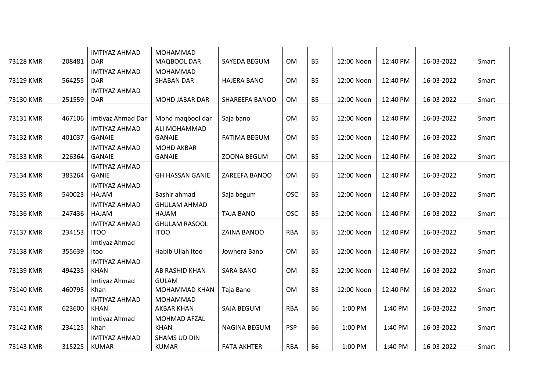|           |        | <b>IMTIYAZ AHMAD</b> | <b>MOHAMMAD</b>        |                     |            |           |            |          |            |       |
|-----------|--------|----------------------|------------------------|---------------------|------------|-----------|------------|----------|------------|-------|
| 73128 KMR | 208481 | <b>DAR</b>           | MAQBOOL DAR            | SAYEDA BEGUM        | <b>OM</b>  | <b>B5</b> | 12:00 Noon | 12:40 PM | 16-03-2022 | Smart |
|           |        | <b>IMTIYAZ AHMAD</b> | MOHAMMAD               |                     |            |           |            |          |            |       |
| 73129 KMR | 564255 | <b>DAR</b>           | <b>SHABAN DAR</b>      | <b>HAJERA BANO</b>  | <b>OM</b>  | <b>B5</b> | 12:00 Noon | 12:40 PM | 16-03-2022 | Smart |
|           |        | <b>IMTIYAZ AHMAD</b> |                        |                     |            |           |            |          |            |       |
| 73130 KMR | 251559 | <b>DAR</b>           | MOHD JABAR DAR         | SHAREEFA BANOO      | <b>OM</b>  | <b>B5</b> | 12:00 Noon | 12:40 PM | 16-03-2022 | Smart |
|           |        |                      |                        |                     |            |           |            |          |            |       |
| 73131 KMR | 467106 | Imtiyaz Ahmad Dar    | Mohd maqbool dar       | Saja bano           | <b>OM</b>  | <b>B5</b> | 12:00 Noon | 12:40 PM | 16-03-2022 | Smart |
|           |        | <b>IMTIYAZ AHMAD</b> | ALI MOHAMMAD           |                     |            |           |            |          |            |       |
| 73132 KMR | 401037 | <b>GANAIE</b>        | <b>GANAIE</b>          | <b>FATIMA BEGUM</b> | <b>OM</b>  | <b>B5</b> | 12:00 Noon | 12:40 PM | 16-03-2022 | Smart |
|           |        | <b>IMTIYAZ AHMAD</b> | <b>MOHD AKBAR</b>      |                     |            |           |            |          |            |       |
| 73133 KMR | 226364 | <b>GANAIE</b>        | <b>GANAIE</b>          | ZOONA BEGUM         | <b>OM</b>  | <b>B5</b> | 12:00 Noon | 12:40 PM | 16-03-2022 | Smart |
|           |        | <b>IMTIYAZ AHMAD</b> |                        |                     |            |           |            |          |            |       |
| 73134 KMR | 383264 | <b>GANIE</b>         | <b>GH HASSAN GANIE</b> | ZAREEFA BANOO       | <b>OM</b>  | <b>B5</b> | 12:00 Noon | 12:40 PM | 16-03-2022 | Smart |
|           |        | <b>IMTIYAZ AHMAD</b> |                        |                     |            |           |            |          |            |       |
| 73135 KMR | 540023 | HAJAM                | Bashir ahmad           | Saja begum          | <b>OSC</b> | <b>B5</b> | 12:00 Noon | 12:40 PM | 16-03-2022 | Smart |
|           |        | <b>IMTIYAZ AHMAD</b> | <b>GHULAM AHMAD</b>    |                     |            |           |            |          |            |       |
| 73136 KMR | 247436 | HAJAM                | HAJAM                  | <b>TAJA BANO</b>    | <b>OSC</b> | <b>B5</b> | 12:00 Noon | 12:40 PM | 16-03-2022 | Smart |
|           |        | <b>IMTIYAZ AHMAD</b> | <b>GHULAM RASOOL</b>   |                     |            |           |            |          |            |       |
| 73137 KMR | 234153 | <b>ITOO</b>          | <b>ITOO</b>            | ZAINA BANOO         | <b>RBA</b> | <b>B5</b> | 12:00 Noon | 12:40 PM | 16-03-2022 | Smart |
|           |        | Imtiyaz Ahmad        |                        |                     |            |           |            |          |            |       |
| 73138 KMR | 355639 | Itoo                 | Habib Ullah Itoo       | Jowhera Bano        | <b>OM</b>  | <b>B5</b> | 12:00 Noon | 12:40 PM | 16-03-2022 | Smart |
|           |        | <b>IMTIYAZ AHMAD</b> |                        |                     |            |           |            |          |            |       |
| 73139 KMR | 494235 | <b>KHAN</b>          | AB RASHID KHAN         | <b>SARA BANO</b>    | <b>OM</b>  | <b>B5</b> | 12:00 Noon | 12:40 PM | 16-03-2022 | Smart |
|           |        | Imtiyaz Ahmad        | <b>GULAM</b>           |                     |            |           |            |          |            |       |
| 73140 KMR | 460795 | Khan                 | MOHAMMAD KHAN          | Taja Bano           | <b>OM</b>  | <b>B5</b> | 12:00 Noon | 12:40 PM | 16-03-2022 | Smart |
|           |        | <b>IMTIYAZ AHMAD</b> | MOHAMMAD               |                     |            |           |            |          |            |       |
| 73141 KMR | 623600 | <b>KHAN</b>          | AKBAR KHAN             | SAJA BEGUM          | <b>RBA</b> | <b>B6</b> | 1:00 PM    | 1:40 PM  | 16-03-2022 | Smart |
|           |        | Imtiyaz Ahmad        | MOHMAD AFZAL           |                     |            |           |            |          |            |       |
| 73142 KMR | 234125 | Khan                 | <b>KHAN</b>            | <b>NAGINA BEGUM</b> | <b>PSP</b> | <b>B6</b> | 1:00 PM    | 1:40 PM  | 16-03-2022 | Smart |
|           |        | <b>IMTIYAZ AHMAD</b> | SHAMS UD DIN           |                     |            |           |            |          |            |       |
| 73143 KMR | 315225 | <b>KUMAR</b>         | <b>KUMAR</b>           | <b>FATA AKHTER</b>  | <b>RBA</b> | <b>B6</b> | 1:00 PM    | 1:40 PM  | 16-03-2022 | Smart |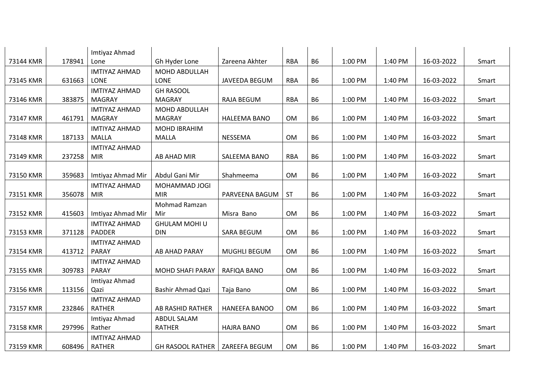|           |        | Imtiyaz Ahmad        |                                  |                     |            |           |         |         |            |       |
|-----------|--------|----------------------|----------------------------------|---------------------|------------|-----------|---------|---------|------------|-------|
| 73144 KMR | 178941 | Lone                 | Gh Hyder Lone                    | Zareena Akhter      | <b>RBA</b> | <b>B6</b> | 1:00 PM | 1:40 PM | 16-03-2022 | Smart |
|           |        | <b>IMTIYAZ AHMAD</b> | <b>MOHD ABDULLAH</b>             |                     |            |           |         |         |            |       |
| 73145 KMR | 631663 | LONE                 | <b>LONE</b>                      | JAVEEDA BEGUM       | <b>RBA</b> | <b>B6</b> | 1:00 PM | 1:40 PM | 16-03-2022 | Smart |
|           |        | <b>IMTIYAZ AHMAD</b> | <b>GH RASOOL</b>                 |                     |            |           |         |         |            |       |
| 73146 KMR | 383875 | <b>MAGRAY</b>        | <b>MAGRAY</b>                    | <b>RAJA BEGUM</b>   | <b>RBA</b> | <b>B6</b> | 1:00 PM | 1:40 PM | 16-03-2022 | Smart |
|           |        | <b>IMTIYAZ AHMAD</b> | MOHD ABDULLAH                    |                     |            |           |         |         |            |       |
| 73147 KMR | 461791 | MAGRAY               | MAGRAY                           | <b>HALEEMA BANO</b> | OM         | <b>B6</b> | 1:00 PM | 1:40 PM | 16-03-2022 | Smart |
|           |        | <b>IMTIYAZ AHMAD</b> | <b>MOHD IBRAHIM</b>              |                     |            |           |         |         |            |       |
| 73148 KMR | 187133 | MALLA                | MALLA                            | NESSEMA             | OM         | <b>B6</b> | 1:00 PM | 1:40 PM | 16-03-2022 | Smart |
|           |        | <b>IMTIYAZ AHMAD</b> |                                  |                     |            |           |         |         |            |       |
| 73149 KMR | 237258 | <b>MIR</b>           | AB AHAD MIR                      | SALEEMA BANO        | <b>RBA</b> | <b>B6</b> | 1:00 PM | 1:40 PM | 16-03-2022 | Smart |
|           |        |                      |                                  |                     |            |           |         |         |            |       |
| 73150 KMR | 359683 | Imtiyaz Ahmad Mir    | Abdul Gani Mir                   | Shahmeema           | OM         | <b>B6</b> | 1:00 PM | 1:40 PM | 16-03-2022 | Smart |
|           |        | <b>IMTIYAZ AHMAD</b> | MOHAMMAD JOGI                    |                     |            |           |         |         |            |       |
| 73151 KMR | 356078 | <b>MIR</b>           | <b>MIR</b>                       | PARVEENA BAGUM      | <b>ST</b>  | <b>B6</b> | 1:00 PM | 1:40 PM | 16-03-2022 | Smart |
|           |        |                      | Mohmad Ramzan                    |                     |            |           |         |         |            |       |
| 73152 KMR | 415603 | Imtiyaz Ahmad Mir    | Mir                              | Misra Bano          | OM         | <b>B6</b> | 1:00 PM | 1:40 PM | 16-03-2022 | Smart |
|           |        | <b>IMTIYAZ AHMAD</b> | <b>GHULAM MOHI U</b>             |                     |            |           |         |         |            |       |
| 73153 KMR | 371128 | PADDER               | <b>DIN</b>                       | <b>SARA BEGUM</b>   | OM         | <b>B6</b> | 1:00 PM | 1:40 PM | 16-03-2022 | Smart |
|           |        | <b>IMTIYAZ AHMAD</b> |                                  |                     |            |           |         |         |            |       |
| 73154 KMR | 413712 | <b>PARAY</b>         | <b>AB AHAD PARAY</b>             | <b>MUGHLI BEGUM</b> | OM         | <b>B6</b> | 1:00 PM | 1:40 PM | 16-03-2022 | Smart |
|           |        | <b>IMTIYAZ AHMAD</b> |                                  |                     |            |           |         |         |            |       |
| 73155 KMR | 309783 | <b>PARAY</b>         | MOHD SHAFI PARAY                 | RAFIQA BANO         | OM         | <b>B6</b> | 1:00 PM | 1:40 PM | 16-03-2022 | Smart |
|           |        | Imtiyaz Ahmad        |                                  |                     |            |           |         |         |            |       |
| 73156 KMR | 113156 | Qazi                 | <b>Bashir Ahmad Qazi</b>         | Taja Bano           | OM         | <b>B6</b> | 1:00 PM | 1:40 PM | 16-03-2022 | Smart |
|           |        | <b>IMTIYAZ AHMAD</b> |                                  |                     |            |           |         |         |            |       |
| 73157 KMR | 232846 | <b>RATHER</b>        | AB RASHID RATHER                 | HANEEFA BANOO       | OM         | <b>B6</b> | 1:00 PM | 1:40 PM | 16-03-2022 | Smart |
|           |        | Imtiyaz Ahmad        | ABDUL SALAM                      |                     |            |           |         |         |            |       |
| 73158 KMR | 297996 | Rather               | <b>RATHER</b>                    | <b>HAJRA BANO</b>   | <b>OM</b>  | <b>B6</b> | 1:00 PM | 1:40 PM | 16-03-2022 | Smart |
|           |        | <b>IMTIYAZ AHMAD</b> |                                  |                     |            |           |         |         |            |       |
| 73159 KMR | 608496 | <b>RATHER</b>        | GH RASOOL RATHER   ZAREEFA BEGUM |                     | <b>OM</b>  | <b>B6</b> | 1:00 PM | 1:40 PM | 16-03-2022 | Smart |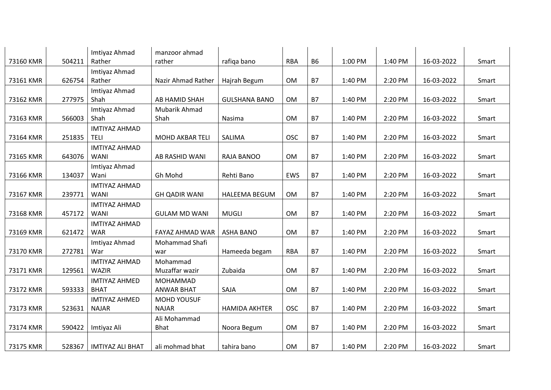| 73160 KMR | 504211 | Imtiyaz Ahmad<br>Rather             | manzoor ahmad<br>rather |                      | <b>RBA</b> | <b>B6</b> | 1:00 PM | 1:40 PM | 16-03-2022 | Smart |
|-----------|--------|-------------------------------------|-------------------------|----------------------|------------|-----------|---------|---------|------------|-------|
|           |        |                                     |                         | rafiqa bano          |            |           |         |         |            |       |
| 73161 KMR | 626754 | Imtiyaz Ahmad<br>Rather             | Nazir Ahmad Rather      | Hajrah Begum         | OM         | <b>B7</b> | 1:40 PM | 2:20 PM | 16-03-2022 | Smart |
| 73162 KMR | 277975 | Imtiyaz Ahmad<br>Shah               | AB HAMID SHAH           | <b>GULSHANA BANO</b> | OM         | <b>B7</b> | 1:40 PM | 2:20 PM | 16-03-2022 | Smart |
|           |        |                                     |                         |                      |            |           |         |         |            |       |
| 73163 KMR | 566003 | Imtiyaz Ahmad<br>Shah               | Mubarik Ahmad<br>Shah   | Nasima               | OM         | <b>B7</b> | 1:40 PM | 2:20 PM | 16-03-2022 | Smart |
|           | 251835 | <b>IMTIYAZ AHMAD</b>                | <b>MOHD AKBAR TELI</b>  |                      | <b>OSC</b> | <b>B7</b> |         |         |            |       |
| 73164 KMR |        | <b>TELI</b>                         |                         | SALIMA               |            |           | 1:40 PM | 2:20 PM | 16-03-2022 | Smart |
| 73165 KMR | 643076 | <b>IMTIYAZ AHMAD</b><br><b>WANI</b> | AB RASHID WANI          | RAJA BANOO           | <b>OM</b>  | <b>B7</b> | 1:40 PM | 2:20 PM | 16-03-2022 | Smart |
|           |        | Imtiyaz Ahmad                       |                         |                      |            |           |         |         |            |       |
| 73166 KMR | 134037 | Wani                                | Gh Mohd                 | Rehti Bano           | EWS        | <b>B7</b> | 1:40 PM | 2:20 PM | 16-03-2022 | Smart |
|           |        | <b>IMTIYAZ AHMAD</b>                |                         |                      |            |           |         |         |            |       |
| 73167 KMR | 239771 | <b>WANI</b>                         | <b>GH QADIR WANI</b>    | <b>HALEEMA BEGUM</b> | OM         | <b>B7</b> | 1:40 PM | 2:20 PM | 16-03-2022 | Smart |
| 73168 KMR | 457172 | <b>IMTIYAZ AHMAD</b><br><b>WANI</b> | <b>GULAM MD WANI</b>    | <b>MUGLI</b>         | OM         | <b>B7</b> | 1:40 PM | 2:20 PM | 16-03-2022 | Smart |
|           |        | <b>IMTIYAZ AHMAD</b>                |                         |                      |            |           |         |         |            |       |
| 73169 KMR | 621472 | <b>WAR</b>                          | FAYAZ AHMAD WAR         | <b>ASHA BANO</b>     | OM         | <b>B7</b> | 1:40 PM | 2:20 PM | 16-03-2022 | Smart |
|           |        | Imtiyaz Ahmad                       | Mohammad Shafi          |                      |            |           |         |         |            |       |
| 73170 KMR | 272781 | War                                 | war                     | Hameeda begam        | <b>RBA</b> | <b>B7</b> | 1:40 PM | 2:20 PM | 16-03-2022 | Smart |
|           |        | <b>IMTIYAZ AHMAD</b>                | Mohammad                |                      |            |           |         |         |            |       |
| 73171 KMR | 129561 | <b>WAZIR</b>                        | Muzaffar wazir          | Zubaida              | <b>OM</b>  | <b>B7</b> | 1:40 PM | 2:20 PM | 16-03-2022 | Smart |
|           |        | <b>IMTIYAZ AHMED</b>                | MOHAMMAD                |                      |            |           |         |         |            |       |
| 73172 KMR | 593333 | <b>BHAT</b>                         | <b>ANWAR BHAT</b>       | SAJA                 | OM         | <b>B7</b> | 1:40 PM | 2:20 PM | 16-03-2022 | Smart |
|           |        | <b>IMTIYAZ AHMED</b>                | <b>MOHD YOUSUF</b>      |                      |            |           |         |         |            |       |
| 73173 KMR | 523631 | <b>NAJAR</b>                        | <b>NAJAR</b>            | <b>HAMIDA AKHTER</b> | <b>OSC</b> | <b>B7</b> | 1:40 PM | 2:20 PM | 16-03-2022 | Smart |
|           |        |                                     | Ali Mohammad            |                      |            |           |         |         |            |       |
| 73174 KMR | 590422 | Imtiyaz Ali                         | <b>Bhat</b>             | Noora Begum          | <b>OM</b>  | <b>B7</b> | 1:40 PM | 2:20 PM | 16-03-2022 | Smart |
|           |        |                                     |                         |                      |            |           |         |         |            |       |
| 73175 KMR | 528367 | <b>IMTIYAZ ALI BHAT</b>             | ali mohmad bhat         | tahira bano          | OM         | <b>B7</b> | 1:40 PM | 2:20 PM | 16-03-2022 | Smart |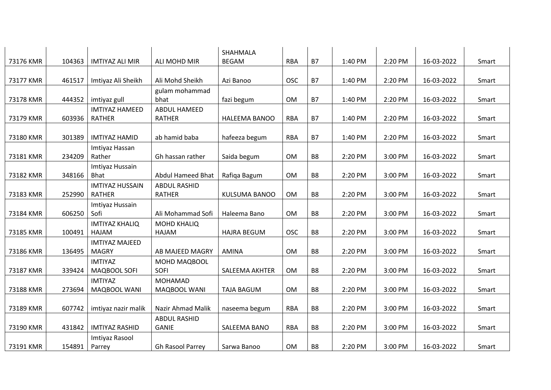|           |        |                                        |                                      | SHAHMALA              |            |                |         |         |            |       |
|-----------|--------|----------------------------------------|--------------------------------------|-----------------------|------------|----------------|---------|---------|------------|-------|
| 73176 KMR | 104363 | <b>IMTIYAZ ALI MIR</b>                 | ALI MOHD MIR                         | <b>BEGAM</b>          | <b>RBA</b> | <b>B7</b>      | 1:40 PM | 2:20 PM | 16-03-2022 | Smart |
|           |        |                                        |                                      |                       |            |                |         |         |            |       |
| 73177 KMR | 461517 | Imtiyaz Ali Sheikh                     | Ali Mohd Sheikh                      | Azi Banoo             | <b>OSC</b> | <b>B7</b>      | 1:40 PM | 2:20 PM | 16-03-2022 | Smart |
|           |        |                                        | gulam mohammad                       |                       |            |                |         |         |            |       |
| 73178 KMR | 444352 | imtiyaz gull                           | bhat                                 | fazi begum            | <b>OM</b>  | <b>B7</b>      | 1:40 PM | 2:20 PM | 16-03-2022 | Smart |
| 73179 KMR | 603936 | <b>IMTIYAZ HAMEED</b><br><b>RATHER</b> | <b>ABDUL HAMEED</b><br><b>RATHER</b> | HALEEMA BANOO         | <b>RBA</b> | <b>B7</b>      | 1:40 PM | 2:20 PM | 16-03-2022 | Smart |
|           |        |                                        |                                      |                       |            |                |         |         |            |       |
| 73180 KMR | 301389 | <b>IMTIYAZ HAMID</b>                   | ab hamid baba                        | hafeeza begum         | <b>RBA</b> | <b>B7</b>      | 1:40 PM | 2:20 PM | 16-03-2022 | Smart |
|           |        | Imtiyaz Hassan                         |                                      |                       |            |                |         |         |            |       |
| 73181 KMR | 234209 | Rather                                 | Gh hassan rather                     | Saida begum           | <b>OM</b>  | B <sub>8</sub> | 2:20 PM | 3:00 PM | 16-03-2022 | Smart |
|           |        | Imtiyaz Hussain                        |                                      |                       |            |                |         |         |            |       |
| 73182 KMR | 348166 | <b>Bhat</b>                            | <b>Abdul Hameed Bhat</b>             | Rafiqa Bagum          | <b>OM</b>  | B <sub>8</sub> | 2:20 PM | 3:00 PM | 16-03-2022 | Smart |
|           |        | <b>IMTIYAZ HUSSAIN</b>                 | <b>ABDUL RASHID</b>                  |                       |            |                |         |         |            |       |
| 73183 KMR | 252990 | <b>RATHER</b>                          | <b>RATHER</b>                        | <b>KULSUMA BANOO</b>  | OM         | B <sub>8</sub> | 2:20 PM | 3:00 PM | 16-03-2022 | Smart |
|           |        | Imtiyaz Hussain                        |                                      |                       |            |                |         |         |            |       |
| 73184 KMR | 606250 | Sofi                                   | Ali Mohammad Sofi                    | Haleema Bano          | <b>OM</b>  | B <sub>8</sub> | 2:20 PM | 3:00 PM | 16-03-2022 | Smart |
|           |        | <b>IMTIYAZ KHALIQ</b>                  | <b>MOHD KHALIQ</b>                   |                       |            |                |         |         |            |       |
| 73185 KMR | 100491 | HAJAM                                  | HAJAM                                | <b>HAJRA BEGUM</b>    | <b>OSC</b> | B <sub>8</sub> | 2:20 PM | 3:00 PM | 16-03-2022 | Smart |
|           |        | <b>IMTIYAZ MAJEED</b>                  |                                      |                       |            |                |         |         |            |       |
| 73186 KMR | 136495 | <b>MAGRY</b>                           | AB MAJEED MAGRY                      | AMINA                 | <b>OM</b>  | B <sub>8</sub> | 2:20 PM | 3:00 PM | 16-03-2022 | Smart |
|           |        | <b>IMTIYAZ</b>                         | MOHD MAQBOOL                         |                       |            |                |         |         |            |       |
| 73187 KMR | 339424 | MAQBOOL SOFI                           | <b>SOFI</b>                          | <b>SALEEMA AKHTER</b> | <b>OM</b>  | B <sub>8</sub> | 2:20 PM | 3:00 PM | 16-03-2022 | Smart |
|           |        | <b>IMTIYAZ</b>                         | MOHAMAD                              |                       |            |                |         |         |            |       |
| 73188 KMR | 273694 | MAQBOOL WANI                           | MAQBOOL WANI                         | <b>TAJA BAGUM</b>     | <b>OM</b>  | B <sub>8</sub> | 2:20 PM | 3:00 PM | 16-03-2022 | Smart |
|           |        |                                        |                                      |                       |            |                |         |         |            |       |
| 73189 KMR | 607742 | imtiyaz nazir malik                    | Nazir Ahmad Malik                    | naseema begum         | <b>RBA</b> | B <sub>8</sub> | 2:20 PM | 3:00 PM | 16-03-2022 | Smart |
|           |        |                                        | <b>ABDUL RASHID</b>                  |                       |            |                |         |         |            |       |
| 73190 KMR | 431842 | <b>IMTIYAZ RASHID</b>                  | <b>GANIE</b>                         | SALEEMA BANO          | <b>RBA</b> | B <sub>8</sub> | 2:20 PM | 3:00 PM | 16-03-2022 | Smart |
|           |        | Imtiyaz Rasool                         |                                      |                       |            |                |         |         |            |       |
| 73191 KMR | 154891 | Parrey                                 | Gh Rasool Parrey                     | Sarwa Banoo           | <b>OM</b>  | B <sub>8</sub> | 2:20 PM | 3:00 PM | 16-03-2022 | Smart |